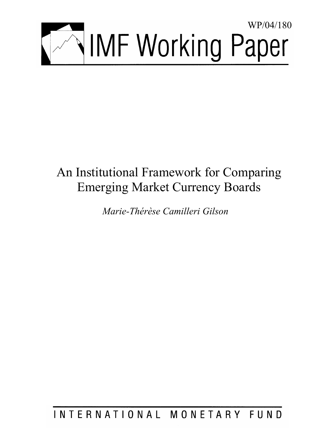

# An Institutional Framework for Comparing Emerging Market Currency Boards

*Marie-Thérèse Camilleri Gilson* 

INTERNATIONAL MONETARY FUND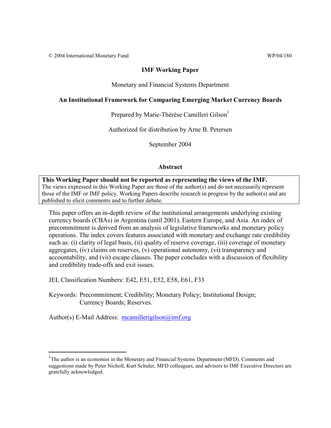© 2004 International Monetary Fund WP/04/180

#### **IMF Working Paper**

Monetary and Financial Systems Department

#### **An Institutional Framework for Comparing Emerging Market Currency Boards**

Prepared by Marie-Thérèse Camilleri Gilson<sup>1</sup>

Authorized for distribution by Arne B. Petersen

September 2004

#### **Abstract**

**This Working Paper should not be reported as representing the views of the IMF.** The views expressed in this Working Paper are those of the author(s) and do not necessarily represent those of the IMF or IMF policy. Working Papers describe research in progress by the author(s) and are published to elicit comments and to further debate.

This paper offers an in-depth review of the institutional arrangements underlying existing currency boards (CBAs) in Argentina (until 2001), Eastern Europe, and Asia. An index of precommitment is derived from an analysis of legislative frameworks and monetary policy operations. The index covers features associated with monetary and exchange rate credibility such as: (i) clarity of legal basis, (ii) quality of reserve coverage, (iii) coverage of monetary aggregates, (iv) claims on reserves, (v) operational autonomy, (vi) transparency and accountability, and (vii) escape clauses. The paper concludes with a discussion of flexibility and credibility trade-offs and exit issues.

JEL Classification Numbers: E42, E51, E52, E58, E61, F33

Keywords: Precommitment; Credibility; Monetary Policy; Institutional Design; Currency Boards; Reserves.

Author(s) E-Mail Address: mcamillerigilson@imf.org

<sup>&</sup>lt;sup>1</sup>The author is an economist in the Monetary and Financial Systems Department (MFD). Comments and suggestions made by Peter Nicholl, Kurt Schuler, MFD colleagues, and advisors to IMF Executive Directors are gratefully acknowledged.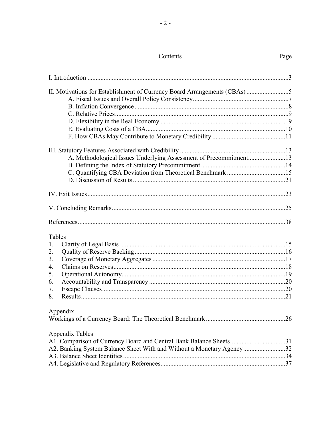# Contents

Page

| A. Methodological Issues Underlying Assessment of Precommitment13     |  |
|-----------------------------------------------------------------------|--|
|                                                                       |  |
|                                                                       |  |
|                                                                       |  |
|                                                                       |  |
|                                                                       |  |
|                                                                       |  |
| Tables                                                                |  |
| 1.                                                                    |  |
| 2.                                                                    |  |
| 3.                                                                    |  |
| 4.                                                                    |  |
| 5.                                                                    |  |
| 6.                                                                    |  |
| 7.                                                                    |  |
| 8.                                                                    |  |
| Appendix                                                              |  |
|                                                                       |  |
| Appendix Tables                                                       |  |
| A1. Comparison of Currency Board and Central Bank Balance Sheets31    |  |
| A2. Banking System Balance Sheet With and Without a Monetary Agency32 |  |
|                                                                       |  |
|                                                                       |  |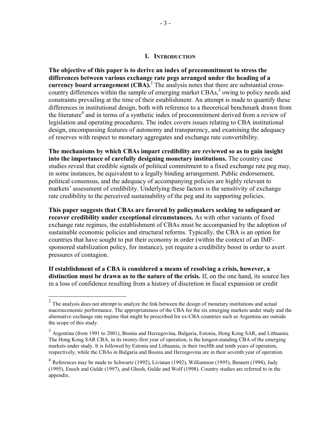#### **I. INTRODUCTION**

**The objective of this paper is to derive an index of precommitment to stress the differences between various exchange rate pegs arranged under the heading of a**  currency board arrangement (CBA).<sup>2</sup> The analysis notes that there are substantial crosscountry differences within the sample of emerging market CBAs,<sup>3</sup> owing to policy needs and constraints prevailing at the time of their establishment. An attempt is made to quantify these differences in institutional design, both with reference to a theoretical benchmark drawn from the literature<sup>4</sup> and in terms of a synthetic index of precommitment derived from a review of legislation and operating procedures. The index covers issues relating to CBA institutional design, encompassing features of autonomy and transparency, and examining the adequacy of reserves with respect to monetary aggregates and exchange rate convertibility.

**The mechanisms by which CBAs impart credibility are reviewed so as to gain insight into the importance of carefully designing monetary institutions.** The country case studies reveal that credible signals of political commitment to a fixed exchange rate peg may, in some instances, be equivalent to a legally binding arrangement. Public endorsement, political consensus, and the adequacy of accompanying policies are highly relevant to markets' assessment of credibility. Underlying these factors is the sensitivity of exchange rate credibility to the perceived sustainability of the peg and its supporting policies.

**This paper suggests that CBAs are favored by policymakers seeking to safeguard or recover credibility under exceptional circumstances.** As with other variants of fixed exchange rate regimes, the establishment of CBAs must be accompanied by the adoption of sustainable economic policies and structural reforms. Typically, the CBA is an option for countries that have sought to put their economy in order (within the context of an IMFsponsored stabilization policy, for instance), yet require a credibility boost in order to avert pressures of contagion.

**If establishment of a CBA is considered a means of resolving a crisis, however, a distinction must be drawn as to the nature of the crisis.** If, on the one hand, its source lies in a loss of confidence resulting from a history of discretion in fiscal expansion or credit

1

 $2$  The analysis does not attempt to analyze the link between the design of monetary institutions and actual macroeconomic performance. The appropriateness of the CBA for the six emerging markets under study and the alternative exchange rate regime that might be prescribed for ex-CBA countries such as Argentina are outside the scope of this study.

<sup>&</sup>lt;sup>3</sup> Argentina (from 1991 to 2001), Bosnia and Herzegovina, Bulgaria, Estonia, Hong Kong SAR, and Lithuania. The Hong Kong SAR CBA, in its twenty-first year of operation, is the longest-standing CBA of the emerging markets under study. It is followed by Estonia and Lithuania, in their twelfth and tenth years of operation, respectively, while the CBAs in Bulgaria and Bosnia and Herzegovina are in their seventh year of operation.

 $4$  References may be made to Schwartz (1992), Liviatan (1992), Williamson (1995), Bennett (1994), Judy (1995), Enoch and Gulde (1997), and Ghosh, Gulde and Wolf (1998). Country studies are referred to in the appendix.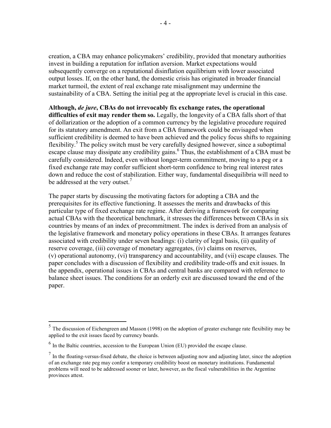creation, a CBA may enhance policymakers' credibility, provided that monetary authorities invest in building a reputation for inflation aversion. Market expectations would subsequently converge on a reputational disinflation equilibrium with lower associated output losses. If, on the other hand, the domestic crisis has originated in broader financial market turmoil, the extent of real exchange rate misalignment may undermine the sustainability of a CBA. Setting the initial peg at the appropriate level is crucial in this case.

#### **Although,** *de jure***, CBAs do not irrevocably fix exchange rates, the operational**

**difficulties of exit may render them so.** Legally, the longevity of a CBA falls short of that of dollarization or the adoption of a common currency by the legislative procedure required for its statutory amendment. An exit from a CBA framework could be envisaged when sufficient credibility is deemed to have been achieved and the policy focus shifts to regaining flexibility.<sup>5</sup> The policy switch must be very carefully designed however, since a suboptimal escape clause may dissipate any credibility gains.<sup>6</sup> Thus, the establishment of a CBA must be carefully considered. Indeed, even without longer-term commitment, moving to a peg or a fixed exchange rate may confer sufficient short-term confidence to bring real interest rates down and reduce the cost of stabilization. Either way, fundamental disequilibria will need to be addressed at the very outset.<sup>7</sup>

The paper starts by discussing the motivating factors for adopting a CBA and the prerequisites for its effective functioning. It assesses the merits and drawbacks of this particular type of fixed exchange rate regime. After deriving a framework for comparing actual CBAs with the theoretical benchmark, it stresses the differences between CBAs in six countries by means of an index of precommitment. The index is derived from an analysis of the legislative framework and monetary policy operations in these CBAs. It arranges features associated with credibility under seven headings: (i) clarity of legal basis, (ii) quality of reserve coverage, (iii) coverage of monetary aggregates, (iv) claims on reserves, (v) operational autonomy, (vi) transparency and accountability, and (vii) escape clauses. The paper concludes with a discussion of flexibility and credibility trade-offs and exit issues. In the appendix, operational issues in CBAs and central banks are compared with reference to balance sheet issues. The conditions for an orderly exit are discussed toward the end of the paper.

 $<sup>5</sup>$  The discussion of Eichengreen and Masson (1998) on the adoption of greater exchange rate flexibility may be</sup> applied to the exit issues faced by currency boards.

 $<sup>6</sup>$  In the Baltic countries, accession to the European Union (EU) provided the escape clause.</sup>

 $<sup>7</sup>$  In the floating-versus-fixed debate, the choice is between adjusting now and adjusting later, since the adoption</sup> of an exchange rate peg may confer a temporary credibility boost on monetary institutions. Fundamental problems will need to be addressed sooner or later, however, as the fiscal vulnerabilities in the Argentine provinces attest.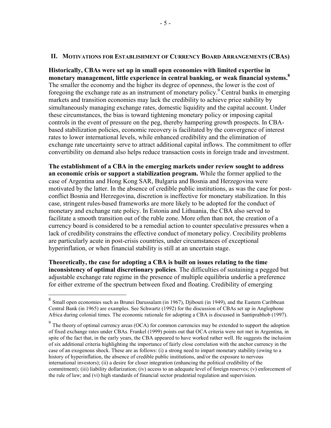#### **II. MOTIVATIONS FOR ESTABLISHMENT OF CURRENCY BOARD ARRANGEMENTS (CBAS)**

**Historically, CBAs were set up in small open economies with limited expertise in monetary management, little experience in central banking, or weak financial systems.<sup>8</sup>** The smaller the economy and the higher its degree of openness, the lower is the cost of foregoing the exchange rate as an instrument of monetary policy.<sup>9</sup> Central banks in emerging markets and transition economies may lack the credibility to achieve price stability by simultaneously managing exchange rates, domestic liquidity and the capital account. Under these circumstances, the bias is toward tightening monetary policy or imposing capital controls in the event of pressure on the peg, thereby hampering growth prospects. In CBAbased stabilization policies, economic recovery is facilitated by the convergence of interest rates to lower international levels, while enhanced credibility and the elimination of exchange rate uncertainty serve to attract additional capital inflows. The commitment to offer convertibility on demand also helps reduce transaction costs in foreign trade and investment.

**The establishment of a CBA in the emerging markets under review sought to address an economic crisis or support a stabilization program.** While the former applied to the case of Argentina and Hong Kong SAR, Bulgaria and Bosnia and Herzegovina were motivated by the latter. In the absence of credible public institutions, as was the case for postconflict Bosnia and Herzegovina, discretion is ineffective for monetary stabilization. In this case, stringent rules-based frameworks are more likely to be adopted for the conduct of monetary and exchange rate policy. In Estonia and Lithuania, the CBA also served to facilitate a smooth transition out of the ruble zone. More often than not, the creation of a currency board is considered to be a remedial action to counter speculative pressures when a lack of credibility constrains the effective conduct of monetary policy. Crecibility problems are particularly acute in post-crisis countries, under circumstances of exceptional hyperinflation, or when financial stability is still at an uncertain stage.

**Theoretically, the case for adopting a CBA is built on issues relating to the time inconsistency of optimal discretionary policies**. The difficulties of sustaining a pegged but adjustable exchange rate regime in the presence of multiple equilibria underlie a preference for either extreme of the spectrum between fixed and floating. Credibility of emerging

 $8$  Small open economies such as Brunei Darussalam (in 1967), Djibouti (in 1949), and the Eastern Caribbean Central Bank (in 1965) are examples. See Schwartz (1992) for the discussion of CBAs set up in Anglophone Africa during colonial times. The economic rationale for adopting a CBA is discussed in Santiprabhob (1997).

<sup>&</sup>lt;sup>9</sup> The theory of optimal currency areas (OCA) for common currencies may be extended to support the adoption of fixed exchange rates under CBAs. Frankel (1999) points out that OCA criteria were not met in Argentina, in spite of the fact that, in the early years, the CBA appeared to have worked rather well. He suggests the inclusion of six additional criteria highlighting the importance of fairly close correlation with the anchor currency in the case of an exogenous shock. These are as follows: (i) a strong need to impart monetary stability (owing to a history of hyperinflation, the absence of credible public institutions, and/or the exposure to nervous international investors); (ii) a desire for closer integration (enhancing the political credibility of the commitment); (iii) liability dollarization; (iv) access to an adequate level of foreign reserves; (v) enforcement of the rule of law; and (vi) high standards of financial sector prudential regulation and supervision.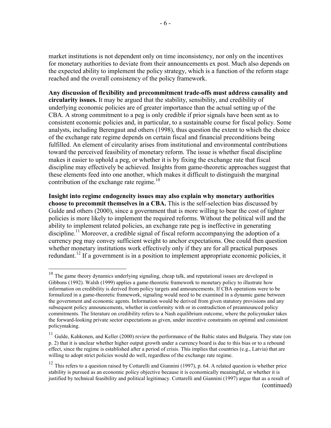market institutions is not dependent only on time inconsistency, nor only on the incentives for monetary authorities to deviate from their announcements ex post. Much also depends on the expected ability to implement the policy strategy, which is a function of the reform stage reached and the overall consistency of the policy framework.

**Any discussion of flexibility and precommitment trade-offs must address causality and circularity issues.** It may be argued that the stability, sensibility, and credibility of underlying economic policies are of greater importance than the actual setting up of the CBA. A strong commitment to a peg is only credible if prior signals have been sent as to consistent economic policies and, in particular, to a sustainable course for fiscal policy. Some analysts, including Berengaut and others (1998), thus question the extent to which the choice of the exchange rate regime depends on certain fiscal and financial preconditions being fulfilled. An element of circularity arises from institutional and environmental contributions toward the perceived feasibility of monetary reform. The issue is whether fiscal discipline makes it easier to uphold a peg, or whether it is by fixing the exchange rate that fiscal discipline may effectively be achieved. Insights from game-theoretic approaches suggest that these elements feed into one another, which makes it difficult to distinguish the marginal contribution of the exchange rate regime.<sup>10</sup>

**Insight into regime endogeneity issues may also explain why monetary authorities choose to precommit themselves in a CBA.** This is the self-selection bias discussed by Gulde and others (2000), since a government that is more willing to bear the cost of tighter policies is more likely to implement the required reforms. Without the political will and the ability to implement related policies, an exchange rate peg is ineffective in generating discipline.<sup>11</sup> Moreover, a credible signal of fiscal reform accompanying the adoption of a currency peg may convey sufficient weight to anchor expectations. One could then question whether monetary institutions work effectively only if they are for all practical purposes redundant.<sup>12</sup> If a government is in a position to implement appropriate economic policies, it

 $10$  The game theory dynamics underlying signaling, cheap talk, and reputational issues are developed in Gibbons (1992). Walsh (1999) applies a game-theoretic framework to monetary policy to illustrate how information on credibility is derived from policy targets and announcements. If CBA operations were to be formalized in a game-theoretic framework, signaling would need to be examined in a dynamic game between the government and economic agents. Information would be derived from given statutory provisions and any subsequent policy announcements, whether in conformity with or in contradiction of preannounced policy commitments. The literature on credibility refers to a Nash equilibrium outcome, where the policymaker takes the forward-looking private sector expectations as given, under incentive constraints on optimal and consistent policymaking.

<sup>&</sup>lt;sup>11</sup> Gulde, Kahkonen, and Keller (2000) review the performance of the Baltic states and Bulgaria. They state (on p. 2) that it is unclear whether higher output growth under a currency board is due to this bias or to a rebound effect, since the regime is established after a period of crisis. This implies that countries (e.g., Latvia) that are willing to adopt strict policies would do well, regardless of the exchange rate regime.

 $12$  This refers to a question raised by Cottarelli and Giannini (1997), p. 64. A related question is whether price stability is pursued as an economic policy objective because it is economically meaningful, or whether it is justified by technical feasibility and political legitimacy. Cottarelli and Giannini (1997) argue that as a result of (continued)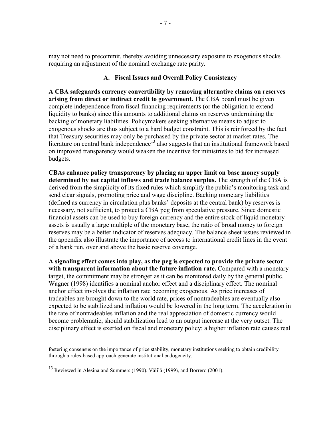may not need to precommit, thereby avoiding unnecessary exposure to exogenous shocks requiring an adjustment of the nominal exchange rate parity.

#### **A. Fiscal Issues and Overall Policy Consistency**

**A CBA safeguards currency convertibility by removing alternative claims on reserves arising from direct or indirect credit to government.** The CBA board must be given complete independence from fiscal financing requirements (or the obligation to extend liquidity to banks) since this amounts to additional claims on reserves undermining the backing of monetary liabilities. Policymakers seeking alternative means to adjust to exogenous shocks are thus subject to a hard budget constraint. This is reinforced by the fact that Treasury securities may only be purchased by the private sector at market rates. The literature on central bank independence<sup>13</sup> also suggests that an institutional framework based on improved transparency would weaken the incentive for ministries to bid for increased budgets.

**CBAs enhance policy transparency by placing an upper limit on base money supply determined by net capital inflows and trade balance surplus.** The strength of the CBA is derived from the simplicity of its fixed rules which simplify the public's monitoring task and send clear signals, promoting price and wage discipline. Backing monetary liabilities (defined as currency in circulation plus banks' deposits at the central bank) by reserves is necessary, not sufficient, to protect a CBA peg from speculative pressure. Since domestic financial assets can be used to buy foreign currency and the entire stock of liquid monetary assets is usually a large multiple of the monetary base, the ratio of broad money to foreign reserves may be a better indicator of reserves adequacy. The balance sheet issues reviewed in the appendix also illustrate the importance of access to international credit lines in the event of a bank run, over and above the basic reserve coverage.

**A signaling effect comes into play, as the peg is expected to provide the private sector with transparent information about the future inflation rate.** Compared with a monetary target, the commitment may be stronger as it can be monitored daily by the general public. Wagner (1998) identifies a nominal anchor effect and a disciplinary effect. The nominal anchor effect involves the inflation rate becoming exogenous. As price increases of tradeables are brought down to the world rate, prices of nontradeables are eventually also expected to be stabilized and inflation would be lowered in the long term. The acceleration in the rate of nontradeables inflation and the real appreciation of domestic currency would become problematic, should stabilization lead to an output increase at the very outset. The disciplinary effect is exerted on fiscal and monetary policy: a higher inflation rate causes real

fostering consensus on the importance of price stability, monetary institutions seeking to obtain credibility through a rules-based approach generate institutional endogeneity.

<sup>13</sup> Reviewed in Alesina and Summers (1990), Välilä (1999), and Borrero (2001).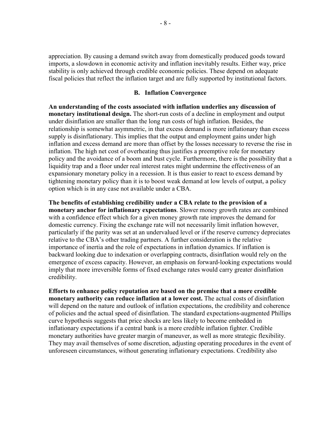appreciation. By causing a demand switch away from domestically produced goods toward imports, a slowdown in economic activity and inflation inevitably results. Either way, price stability is only achieved through credible economic policies. These depend on adequate fiscal policies that reflect the inflation target and are fully supported by institutional factors.

#### **B. Inflation Convergence**

**An understanding of the costs associated with inflation underlies any discussion of monetary institutional design.** The short-run costs of a decline in employment and output under disinflation are smaller than the long run costs of high inflation. Besides, the relationship is somewhat asymmetric, in that excess demand is more inflationary than excess supply is disinflationary. This implies that the output and employment gains under high inflation and excess demand are more than offset by the losses necessary to reverse the rise in inflation. The high net cost of overheating thus justifies a preemptive role for monetary policy and the avoidance of a boom and bust cycle. Furthermore, there is the possibility that a liquidity trap and a floor under real interest rates might undermine the effectiveness of an expansionary monetary policy in a recession. It is thus easier to react to excess demand by tightening monetary policy than it is to boost weak demand at low levels of output, a policy option which is in any case not available under a CBA.

**The benefits of establishing credibility under a CBA relate to the provision of a monetary anchor for inflationary expectations**. Slower money growth rates are combined with a confidence effect which for a given money growth rate improves the demand for domestic currency. Fixing the exchange rate will not necessarily limit inflation however, particularly if the parity was set at an undervalued level or if the reserve currency depreciates relative to the CBA's other trading partners. A further consideration is the relative importance of inertia and the role of expectations in inflation dynamics. If inflation is backward looking due to indexation or overlapping contracts, disinflation would rely on the emergence of excess capacity. However, an emphasis on forward-looking expectations would imply that more irreversible forms of fixed exchange rates would carry greater disinflation credibility.

**Efforts to enhance policy reputation are based on the premise that a more credible monetary authority can reduce inflation at a lower cost.** The actual costs of disinflation will depend on the nature and outlook of inflation expectations, the credibility and coherence of policies and the actual speed of disinflation. The standard expectations-augmented Phillips curve hypothesis suggests that price shocks are less likely to become embedded in inflationary expectations if a central bank is a more credible inflation fighter. Credible monetary authorities have greater margin of maneuver, as well as more strategic flexibility. They may avail themselves of some discretion, adjusting operating procedures in the event of unforeseen circumstances, without generating inflationary expectations. Credibility also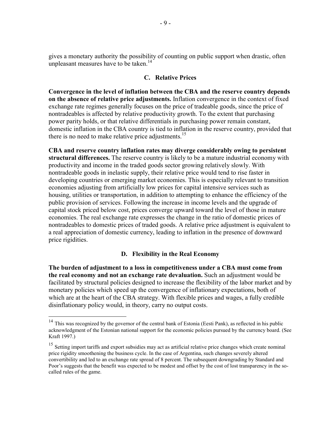gives a monetary authority the possibility of counting on public support when drastic, often unpleasant measures have to be taken.<sup>14</sup>

#### **C. Relative Prices**

**Convergence in the level of inflation between the CBA and the reserve country depends on the absence of relative price adjustments.** Inflation convergence in the context of fixed exchange rate regimes generally focuses on the price of tradeable goods, since the price of nontradeables is affected by relative productivity growth. To the extent that purchasing power parity holds, or that relative differentials in purchasing power remain constant, domestic inflation in the CBA country is tied to inflation in the reserve country, provided that there is no need to make relative price adjustments.<sup>15</sup>

**CBA and reserve country inflation rates may diverge considerably owing to persistent structural differences.** The reserve country is likely to be a mature industrial economy with productivity and income in the traded goods sector growing relatively slowly. With nontradeable goods in inelastic supply, their relative price would tend to rise faster in developing countries or emerging market economies. This is especially relevant to transition economies adjusting from artificially low prices for capital intensive services such as housing, utilities or transportation, in addition to attempting to enhance the efficiency of the public provision of services. Following the increase in income levels and the upgrade of capital stock priced below cost, prices converge upward toward the level of those in mature economies. The real exchange rate expresses the change in the ratio of domestic prices of nontradeables to domestic prices of traded goods. A relative price adjustment is equivalent to a real appreciation of domestic currency, leading to inflation in the presence of downward price rigidities.

## **D. Flexibility in the Real Economy**

**The burden of adjustment to a loss in competitiveness under a CBA must come from the real economy and not an exchange rate devaluation.** Such an adjustment would be facilitated by structural policies designed to increase the flexibility of the labor market and by monetary policies which speed up the convergence of inflationary expectations, both of which are at the heart of the CBA strategy. With flexible prices and wages, a fully credible disinflationary policy would, in theory, carry no output costs.

<sup>&</sup>lt;sup>14</sup> This was recognized by the governor of the central bank of Estonia (Eesti Pank), as reflected in his public acknowledgment of the Estonian national support for the economic policies pursued by the currency board. (See Kraft 1997.)

<sup>&</sup>lt;sup>15</sup> Setting import tariffs and export subsidies may act as artificial relative price changes which create nominal price rigidity smoothening the business cycle. In the case of Argentina, such changes severely altered convertibility and led to an exchange rate spread of 8 percent. The subsequent downgrading by Standard and Poor's suggests that the benefit was expected to be modest and offset by the cost of lost transparency in the socalled rules of the game.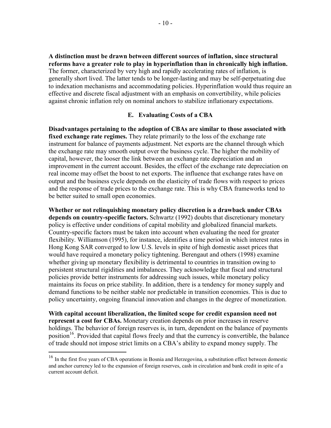**A distinction must be drawn between different sources of inflation, since structural reforms have a greater role to play in hyperinflation than in chronically high inflation.** The former, characterized by very high and rapidly accelerating rates of inflation, is generally short lived. The latter tends to be longer-lasting and may be self-perpetuating due to indexation mechanisms and accommodating policies. Hyperinflation would thus require an effective and discrete fiscal adjustment with an emphasis on convertibility, while policies against chronic inflation rely on nominal anchors to stabilize inflationary expectations.

## **E. Evaluating Costs of a CBA**

**Disadvantages pertaining to the adoption of CBAs are similar to those associated with fixed exchange rate regimes.** They relate primarily to the loss of the exchange rate instrument for balance of payments adjustment. Net exports are the channel through which the exchange rate may smooth output over the business cycle. The higher the mobility of capital, however, the looser the link between an exchange rate depreciation and an improvement in the current account. Besides, the effect of the exchange rate depreciation on real income may offset the boost to net exports. The influence that exchange rates have on output and the business cycle depends on the elasticity of trade flows with respect to prices and the response of trade prices to the exchange rate. This is why CBA frameworks tend to be better suited to small open economies.

**Whether or not relinquishing monetary policy discretion is a drawback under CBAs depends on country-specific factors.** Schwartz (1992) doubts that discretionary monetary policy is effective under conditions of capital mobility and globalized financial markets. Country-specific factors must be taken into account when evaluating the need for greater flexibility. Williamson (1995), for instance, identifies a time period in which interest rates in Hong Kong SAR converged to low U.S. levels in spite of high domestic asset prices that would have required a monetary policy tightening. Berengaut and others (1998) examine whether giving up monetary flexibility is detrimental to countries in transition owing to persistent structural rigidities and imbalances. They acknowledge that fiscal and structural policies provide better instruments for addressing such issues, while monetary policy maintains its focus on price stability. In addition, there is a tendency for money supply and demand functions to be neither stable nor predictable in transition economies. This is due to policy uncertainty, ongoing financial innovation and changes in the degree of monetization.

**With capital account liberalization, the limited scope for credit expansion need not represent a cost for CBAs.** Monetary creation depends on prior increases in reserve holdings. The behavior of foreign reserves is, in turn, dependent on the balance of payments position<sup>16</sup>. Provided that capital flows freely and that the currency is convertible, the balance of trade should not impose strict limits on a CBA's ability to expand money supply. The

<sup>&</sup>lt;sup>16</sup> In the first five years of CBA operations in Bosnia and Herzegovina, a substitution effect between domestic and anchor currency led to the expansion of foreign reserves, cash in circulation and bank credit in spite of a current account deficit.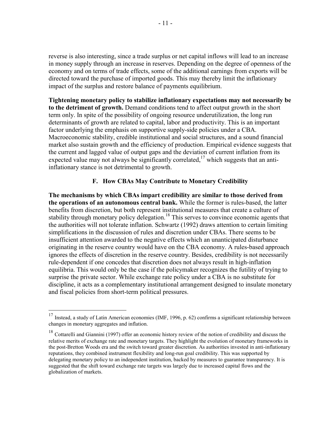reverse is also interesting, since a trade surplus or net capital inflows will lead to an increase in money supply through an increase in reserves. Depending on the degree of openness of the economy and on terms of trade effects, some of the additional earnings from exports will be directed toward the purchase of imported goods. This may thereby limit the inflationary impact of the surplus and restore balance of payments equilibrium.

**Tightening monetary policy to stabilize inflationary expectations may not necessarily be to the detriment of growth.** Demand conditions tend to affect output growth in the short term only. In spite of the possibility of ongoing resource underutilization, the long run determinants of growth are related to capital, labor and productivity. This is an important factor underlying the emphasis on supportive supply-side policies under a CBA. Macroeconomic stability, credible institutional and social structures, and a sound financial market also sustain growth and the efficiency of production. Empirical evidence suggests that the current and lagged value of output gaps and the deviation of current inflation from its expected value may not always be significantly correlated,  $17$  which suggests that an antiinflationary stance is not detrimental to growth.

# **F. How CBAs May Contribute to Monetary Credibility**

**The mechanisms by which CBAs impart credibility are similar to those derived from the operations of an autonomous central bank.** While the former is rules-based, the latter benefits from discretion, but both represent institutional measures that create a culture of stability through monetary policy delegation.<sup>18</sup> This serves to convince economic agents that the authorities will not tolerate inflation. Schwartz (1992) draws attention to certain limiting simplifications in the discussion of rules and discretion under CBAs. There seems to be insufficient attention awarded to the negative effects which an unanticipated disturbance originating in the reserve country would have on the CBA economy. A rules-based approach ignores the effects of discretion in the reserve country. Besides, credibility is not necessarily rule-dependent if one concedes that discretion does not always result in high-inflation equilibria. This would only be the case if the policymaker recognizes the futility of trying to surprise the private sector. While exchange rate policy under a CBA is no substitute for discipline, it acts as a complementary institutional arrangement designed to insulate monetary and fiscal policies from short-term political pressures.

<sup>&</sup>lt;sup>17</sup> Instead, a study of Latin American economies (IMF, 1996, p. 62) confirms a significant relationship between changes in monetary aggregates and inflation.

<sup>&</sup>lt;sup>18</sup> Cottarelli and Giannini (1997) offer an economic history review of the notion of credibility and discuss the relative merits of exchange rate and monetary targets. They highlight the evolution of monetary frameworks in the post-Bretton Woods era and the switch toward greater discretion. As authorities invested in anti-inflationary reputations, they combined instrument flexibility and long-run goal credibility. This was supported by delegating monetary policy to an independent institution, backed by measures to guarantee transparency. It is suggested that the shift toward exchange rate targets was largely due to increased capital flows and the globalization of markets.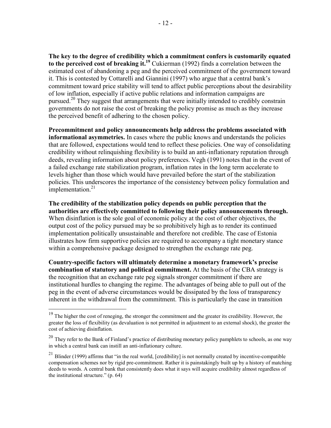**The key to the degree of credibility which a commitment confers is customarily equated to the perceived cost of breaking it.19** Cukierman (1992) finds a correlation between the estimated cost of abandoning a peg and the perceived commitment of the government toward it. This is contested by Cottarelli and Giannini (1997) who argue that a central bank's commitment toward price stability will tend to affect public perceptions about the desirability of low inflation, especially if active public relations and information campaigns are pursued.<sup>20</sup> They suggest that arrangements that were initially intended to credibly constrain governments do not raise the cost of breaking the policy promise as much as they increase the perceived benefit of adhering to the chosen policy.

**Precommitment and policy announcements help address the problems associated with informational asymmetries.** In cases where the public knows and understands the policies that are followed, expectations would tend to reflect these policies. One way of consolidating credibility without relinquishing flexibility is to build an anti-inflationary reputation through deeds, revealing information about policy preferences. Vegh (1991) notes that in the event of a failed exchange rate stabilization program, inflation rates in the long term accelerate to levels higher than those which would have prevailed before the start of the stabilization policies. This underscores the importance of the consistency between policy formulation and implementation. $21$ 

**The credibility of the stabilization policy depends on public perception that the authorities are effectively committed to following their policy announcements through.** When disinflation is the sole goal of economic policy at the cost of other objectives, the output cost of the policy pursued may be so prohibitively high as to render its continued implementation politically unsustainable and therefore not credible. The case of Estonia illustrates how firm supportive policies are required to accompany a tight monetary stance within a comprehensive package designed to strengthen the exchange rate peg.

**Country-specific factors will ultimately determine a monetary framework's precise combination of statutory and political commitment.** At the basis of the CBA strategy is the recognition that an exchange rate peg signals stronger commitment if there are institutional hurdles to changing the regime. The advantages of being able to pull out of the peg in the event of adverse circumstances would be dissipated by the loss of transparency inherent in the withdrawal from the commitment. This is particularly the case in transition

 $19$  The higher the cost of reneging, the stronger the commitment and the greater its credibility. However, the greater the loss of flexibility (as devaluation is not permitted in adjustment to an external shock), the greater the cost of achieving disinflation.

 $20$  They refer to the Bank of Finland's practice of distributing monetary policy pamphlets to schools, as one way in which a central bank can instill an anti-inflationary culture.

 $21$  Blinder (1999) affirms that "in the real world, [credibility] is not normally created by incentive-compatible compensation schemes nor by rigid pre-commitment. Rather it is painstakingly built up by a history of matching deeds to words. A central bank that consistently does what it says will acquire credibility almost regardless of the institutional structure." (p. 64)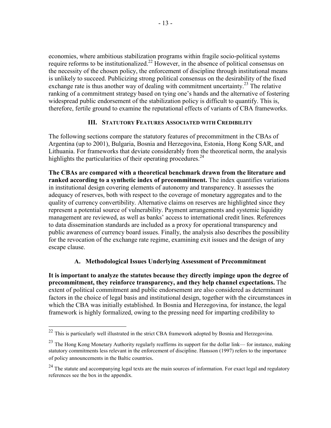economies, where ambitious stabilization programs within fragile socio-political systems require reforms to be institutionalized.<sup>22</sup> However, in the absence of political consensus on the necessity of the chosen policy, the enforcement of discipline through institutional means is unlikely to succeed. Publicizing strong political consensus on the desirability of the fixed exchange rate is thus another way of dealing with commitment uncertainty.<sup>23</sup> The relative ranking of a commitment strategy based on tying one's hands and the alternative of fostering widespread public endorsement of the stabilization policy is difficult to quantify. This is, therefore, fertile ground to examine the reputational effects of variants of CBA frameworks.

# **III. STATUTORY FEATURES ASSOCIATED WITH CREDIBILITY**

The following sections compare the statutory features of precommitment in the CBAs of Argentina (up to 2001), Bulgaria, Bosnia and Herzegovina, Estonia, Hong Kong SAR, and Lithuania. For frameworks that deviate considerably from the theoretical norm, the analysis highlights the particularities of their operating procedures.  $24$ 

**The CBAs are compared with a theoretical benchmark drawn from the literature and ranked according to a synthetic index of precommitment.** The index quantifies variations in institutional design covering elements of autonomy and transparency. It assesses the adequacy of reserves, both with respect to the coverage of monetary aggregates and to the quality of currency convertibility. Alternative claims on reserves are highlighted since they represent a potential source of vulnerability. Payment arrangements and systemic liquidity management are reviewed, as well as banks' access to international credit lines. References to data dissemination standards are included as a proxy for operational transparency and public awareness of currency board issues. Finally, the analysis also describes the possibility for the revocation of the exchange rate regime, examining exit issues and the design of any escape clause.

# **A. Methodological Issues Underlying Assessment of Precommitment**

**It is important to analyze the statutes because they directly impinge upon the degree of precommitment, they reinforce transparency, and they help channel expectations.** The extent of political commitment and public endorsement are also considered as determinant factors in the choice of legal basis and institutional design, together with the circumstances in which the CBA was initially established. In Bosnia and Herzegovina, for instance, the legal framework is highly formalized, owing to the pressing need for imparting credibility to

 $22$  This is particularly well illustrated in the strict CBA framework adopted by Bosnia and Herzegovina.

<sup>&</sup>lt;sup>23</sup> The Hong Kong Monetary Authority regularly reaffirms its support for the dollar link— for instance, making statutory commitments less relevant in the enforcement of discipline. Hansson (1997) refers to the importance of policy announcements in the Baltic countries.

<sup>&</sup>lt;sup>24</sup> The statute and accompanying legal texts are the main sources of information. For exact legal and regulatory references see the box in the appendix.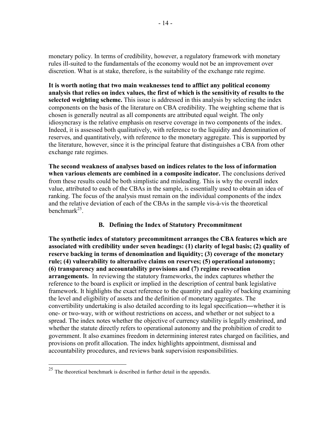monetary policy. In terms of credibility, however, a regulatory framework with monetary rules ill-suited to the fundamentals of the economy would not be an improvement over discretion. What is at stake, therefore, is the suitability of the exchange rate regime.

**It is worth noting that two main weaknesses tend to afflict any political economy analysis that relies on index values, the first of which is the sensitivity of results to the selected weighting scheme.** This issue is addressed in this analysis by selecting the index components on the basis of the literature on CBA credibility. The weighting scheme that is chosen is generally neutral as all components are attributed equal weight. The only idiosyncrasy is the relative emphasis on reserve coverage in two components of the index. Indeed, it is assessed both qualitatively, with reference to the liquidity and denomination of reserves, and quantitatively, with reference to the monetary aggregate. This is supported by the literature, however, since it is the principal feature that distinguishes a CBA from other exchange rate regimes.

**The second weakness of analyses based on indices relates to the loss of information when various elements are combined in a composite indicator.** The conclusions derived from these results could be both simplistic and misleading. This is why the overall index value, attributed to each of the CBAs in the sample, is essentially used to obtain an idea of ranking. The focus of the analysis must remain on the individual components of the index and the relative deviation of each of the CBAs in the sample vis-à-vis the theoretical benchmark $^{25}$ .

# **B. Defining the Index of Statutory Precommitment**

**The synthetic index of statutory precommitment arranges the CBA features which are associated with credibility under seven headings: (1) clarity of legal basis; (2) quality of reserve backing in terms of denomination and liquidity; (3) coverage of the monetary rule; (4) vulnerability to alternative claims on reserves; (5) operational autonomy; (6) transparency and accountability provisions and (7) regime revocation arrangements.** In reviewing the statutory frameworks, the index captures whether the reference to the board is explicit or implied in the description of central bank legislative framework. It highlights the exact reference to the quantity and quality of backing examining the level and eligibility of assets and the definition of monetary aggregates. The convertibility undertaking is also detailed according to its legal specification―whether it is one- or two-way, with or without restrictions on access, and whether or not subject to a spread. The index notes whether the objective of currency stability is legally enshrined, and whether the statute directly refers to operational autonomy and the prohibition of credit to government. It also examines freedom in determining interest rates charged on facilities, and provisions on profit allocation. The index highlights appointment, dismissal and accountability procedures, and reviews bank supervision responsibilities.

1

 $25$  The theoretical benchmark is described in further detail in the appendix.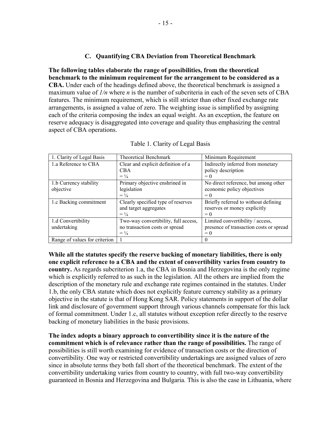# **C. Quantifying CBA Deviation from Theoretical Benchmark**

**The following tables elaborate the range of possibilities, from the theoretical benchmark to the minimum requirement for the arrangement to be considered as a CBA.** Under each of the headings defined above, the theoretical benchmark is assigned a maximum value of *1/n* where *n* is the number of subcriteria in each of the seven sets of CBA features. The minimum requirement, which is still stricter than other fixed exchange rate arrangements, is assigned a value of zero. The weighting issue is simplified by assigning each of the criteria composing the index an equal weight. As an exception, the feature on reserve adequacy is disaggregated into coverage and quality thus emphasizing the central aspect of CBA operations.

| 1. Clarity of Legal Basis     | <b>Theoretical Benchmark</b>         | Minimum Requirement                     |
|-------------------------------|--------------------------------------|-----------------------------------------|
| 1.a Reference to CBA          | Clear and explicit definition of a   | Indirectly inferred from monetary       |
|                               | <b>CBA</b>                           | policy description                      |
|                               | $= \frac{1}{4}$                      | $= 0$                                   |
| 1.b Currency stability        | Primary objective enshrined in       | No direct reference, but among other    |
| objective                     | legislation                          | economic policy objectives              |
|                               | $= \frac{1}{4}$                      | $= 0$                                   |
| 1.c Backing commitment        | Clearly specified type of reserves   | Briefly referred to without defining    |
|                               | and target aggregates                | reserves or money explicitly            |
|                               | $= \frac{1}{4}$                      | $= 0$                                   |
| 1.d Convertibility            | Two-way convertibility, full access, | Limited convertibility / access,        |
| undertaking                   | no transaction costs or spread       | presence of transaction costs or spread |
|                               | $= \frac{1}{4}$                      | $= 0$                                   |
| Range of values for criterion |                                      | $\theta$                                |

| Table 1. Clarity of Legal Basis |
|---------------------------------|
|                                 |

**While all the statutes specify the reserve backing of monetary liabilities, there is only one explicit reference to a CBA and the extent of convertibility varies from country to country.** As regards subcriterion 1.a, the CBA in Bosnia and Herzegovina is the only regime which is explicitly referred to as such in the legislation. All the others are implied from the description of the monetary rule and exchange rate regimes contained in the statutes. Under 1.b, the only CBA statute which does not explicitly feature currency stability as a primary objective in the statute is that of Hong Kong SAR. Policy statements in support of the dollar link and disclosure of government support through various channels compensate for this lack of formal commitment. Under 1.c, all statutes without exception refer directly to the reserve backing of monetary liabilities in the basic provisions.

**The index adopts a binary approach to convertibility since it is the nature of the commitment which is of relevance rather than the range of possibilities.** The range of possibilities is still worth examining for evidence of transaction costs or the direction of convertibility. One way or restricted convertibility undertakings are assigned values of zero since in absolute terms they both fall short of the theoretical benchmark. The extent of the convertibility undertaking varies from country to country, with full two-way convertibility guaranteed in Bosnia and Herzegovina and Bulgaria. This is also the case in Lithuania, where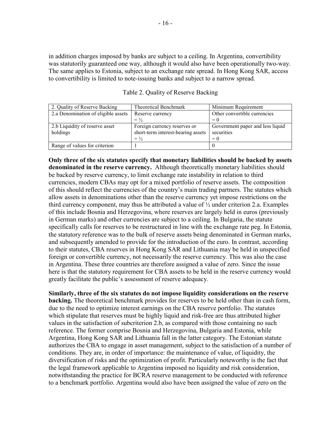in addition charges imposed by banks are subject to a ceiling. In Argentina, convertibility was statutorily guaranteed one way, although it would also have been operationally two-way. The same applies to Estonia, subject to an exchange rate spread. In Hong Kong SAR, access to convertibility is limited to note-issuing banks and subject to a narrow spread.

| 2. Quality of Reserve Backing       | <b>Theoretical Benchmark</b>       | Minimum Requirement              |
|-------------------------------------|------------------------------------|----------------------------------|
| 2.a Denomination of eligible assets | Reserve currency                   | Other convertible currencies     |
|                                     | $=$ $\frac{1}{2}$                  | $= 0$                            |
| 2.b Liquidity of reserve asset      | Foreign currency reserves or       | Government paper and less liquid |
| holdings                            | short-term interest-bearing assets | securities                       |
|                                     | $=$ $\frac{1}{2}$                  | $= 0$                            |
| Range of values for criterion       |                                    |                                  |

Table 2. Quality of Reserve Backing

**Only three of the six statutes specify that monetary liabilities should be backed by assets denominated in the reserve currency.** Although theoretically monetary liabilities should be backed by reserve currency, to limit exchange rate instability in relation to third currencies, modern CBAs may opt for a mixed portfolio of reserve assets. The composition of this should reflect the currencies of the country's main trading partners. The statutes which allow assets in denominations other than the reserve currency yet impose restrictions on the third currency component, may thus be attributed a value of ½ under criterion 2.a. Examples of this include Bosnia and Herzegovina, where reserves are largely held in euros (previously in German marks) and other currencies are subject to a ceiling. In Bulgaria, the statute specifically calls for reserves to be restructured in line with the exchange rate peg. In Estonia, the statutory reference was to the bulk of reserve assets being denominated in German marks, and subsequently amended to provide for the introduction of the euro. In contrast, according to their statutes, CBA reserves in Hong Kong SAR and Lithuania may be held in unspecified foreign or convertible currency, not necessarily the reserve currency. This was also the case in Argentina. These three countries are therefore assigned a value of zero. Since the issue here is that the statutory requirement for CBA assets to be held in the reserve currency would greatly facilitate the public's assessment of reserve adequacy.

**Similarly, three of the six statutes do not impose liquidity considerations on the reserve backing.** The theoretical benchmark provides for reserves to be held other than in cash form, due to the need to optimize interest earnings on the CBA reserve portfolio. The statutes which stipulate that reserves must be highly liquid and risk-free are thus attributed higher values in the satisfaction of subcriterion 2.b, as compared with those containing no such reference. The former comprise Bosnia and Herzegovina, Bulgaria and Estonia, while Argentina, Hong Kong SAR and Lithuania fall in the latter category. The Estonian statute authorizes the CBA to engage in asset management, subject to the satisfaction of a number of conditions. They are, in order of importance: the maintenance of value, of liquidity, the diversification of risks and the optimization of profit. Particularly noteworthy is the fact that the legal framework applicable to Argentina imposed no liquidity and risk consideration, notwithstanding the practice for BCRA reserve management to be conducted with reference to a benchmark portfolio. Argentina would also have been assigned the value of zero on the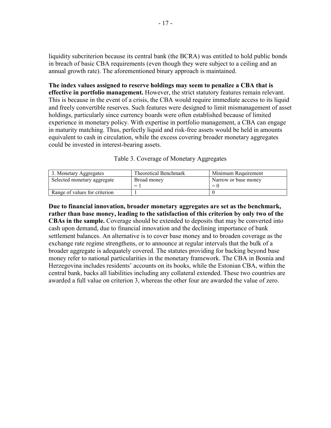liquidity subcriterion because its central bank (the BCRA) was entitled to hold public bonds in breach of basic CBA requirements (even though they were subject to a ceiling and an annual growth rate). The aforementioned binary approach is maintained.

**The index values assigned to reserve holdings may seem to penalize a CBA that is effective in portfolio management.** However, the strict statutory features remain relevant. This is because in the event of a crisis, the CBA would require immediate access to its liquid and freely convertible reserves. Such features were designed to limit mismanagement of asset holdings, particularly since currency boards were often established because of limited experience in monetary policy. With expertise in portfolio management, a CBA can engage in maturity matching. Thus, perfectly liquid and risk-free assets would be held in amounts equivalent to cash in circulation, while the excess covering broader monetary aggregates could be invested in interest-bearing assets.

#### Table 3. Coverage of Monetary Aggregates

| 3. Monetary Aggregates        | Theoretical Benchmark | Minimum Requirement  |  |
|-------------------------------|-----------------------|----------------------|--|
| Selected monetary aggregate   | Broad money           | Narrow or base money |  |
|                               | =                     | $= 0$                |  |
| Range of values for criterion |                       |                      |  |

**Due to financial innovation, broader monetary aggregates are set as the benchmark, rather than base money, leading to the satisfaction of this criterion by only two of the CBAs in the sample.** Coverage should be extended to deposits that may be converted into cash upon demand, due to financial innovation and the declining importance of bank settlement balances. An alternative is to cover base money and to broaden coverage as the exchange rate regime strengthens, or to announce at regular intervals that the bulk of a broader aggregate is adequately covered. The statutes providing for backing beyond base money refer to national particularities in the monetary framework. The CBA in Bosnia and Herzegovina includes residents' accounts on its books, while the Estonian CBA, within the central bank, backs all liabilities including any collateral extended. These two countries are awarded a full value on criterion 3, whereas the other four are awarded the value of zero.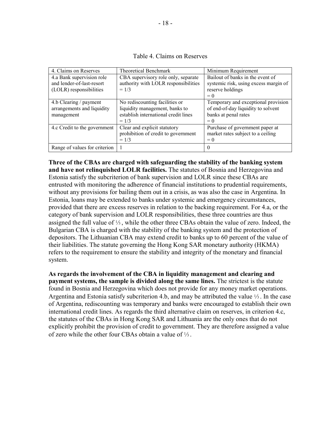| Table 4. Claims on Reserves |  |  |  |
|-----------------------------|--|--|--|
|-----------------------------|--|--|--|

| 4. Claims on Reserves                                                             | <b>Theoretical Benchmark</b>                                                                                        | Minimum Requirement                                                                                        |
|-----------------------------------------------------------------------------------|---------------------------------------------------------------------------------------------------------------------|------------------------------------------------------------------------------------------------------------|
| 4.a Bank supervision role<br>and lender-of-last-resort<br>(LOLR) responsibilities | CBA supervisory role only, separate<br>authority with LOLR responsibilities<br>$= 1/3$                              | Bailout of banks in the event of<br>systemic risk, using excess margin of<br>reserve holdings<br>$= 0$     |
| 4.b Clearing / payment<br>arrangements and liquidity<br>management                | No rediscounting facilities or<br>liquidity management, banks to<br>establish international credit lines<br>$= 1/3$ | Temporary and exceptional provision<br>of end-of-day liquidity to solvent<br>banks at penal rates<br>$= 0$ |
| 4.c Credit to the government                                                      | Clear and explicit statutory<br>prohibition of credit to government<br>$= 1/3$                                      | Purchase of government paper at<br>market rates subject to a ceiling<br>$= 0$                              |
| Range of values for criterion                                                     | 1                                                                                                                   | $\theta$                                                                                                   |

**Three of the CBAs are charged with safeguarding the stability of the banking system and have not relinquished LOLR facilities.** The statutes of Bosnia and Herzegovina and Estonia satisfy the subcriterion of bank supervision and LOLR since these CBAs are entrusted with monitoring the adherence of financial institutions to prudential requirements, without any provisions for bailing them out in a crisis, as was also the case in Argentina. In Estonia, loans may be extended to banks under systemic and emergency circumstances, provided that there are excess reserves in relation to the backing requirement. For 4.a, or the category of bank supervision and LOLR responsibilities, these three countries are thus assigned the full value of  $\frac{1}{3}$ , while the other three CBAs obtain the value of zero. Indeed, the Bulgarian CBA is charged with the stability of the banking system and the protection of depositors. The Lithuanian CBA may extend credit to banks up to 60 percent of the value of their liabilities. The statute governing the Hong Kong SAR monetary authority (HKMA) refers to the requirement to ensure the stability and integrity of the monetary and financial system.

**As regards the involvement of the CBA in liquidity management and clearing and payment systems, the sample is divided along the same lines.** The strictest is the statute found in Bosnia and Herzegovina which does not provide for any money market operations. Argentina and Estonia satisfy subcriterion 4.b, and may be attributed the value 1⁄3 . In the case of Argentina, rediscounting was temporary and banks were encouraged to establish their own international credit lines. As regards the third alternative claim on reserves, in criterion 4.c, the statutes of the CBAs in Hong Kong SAR and Lithuania are the only ones that do not explicitly prohibit the provision of credit to government. They are therefore assigned a value of zero while the other four CBAs obtain a value of 1⁄3 .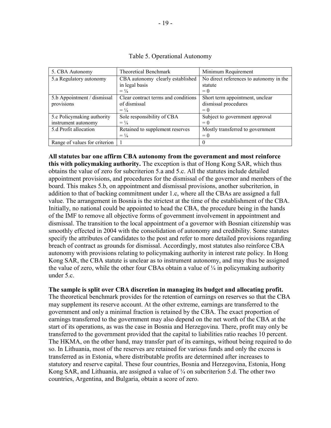| 5. CBA Autonomy               | <b>Theoretical Benchmark</b>        | Minimum Requirement                     |
|-------------------------------|-------------------------------------|-----------------------------------------|
| 5.a Regulatory autonomy       | CBA autonomy clearly established    | No direct references to autonomy in the |
|                               | in legal basis                      | statute                                 |
|                               | $= \frac{1}{4}$                     | $= 0$                                   |
| 5.b Appointment / dismissal   | Clear contract terms and conditions | Short term appointment, unclear         |
| provisions                    | of dismissal                        | dismissal procedures                    |
|                               | $= \frac{1}{4}$                     | $= 0$                                   |
| 5.c Policymaking authority    | Sole responsibility of CBA          | Subject to government approval          |
| instrument autonomy           | $= \frac{1}{4}$                     | $= 0$                                   |
| 5.d Profit allocation         | Retained to supplement reserves     | Mostly transferred to government        |
|                               | $= \frac{1}{4}$                     | $= 0$                                   |
| Range of values for criterion |                                     | $\theta$                                |

Table 5. Operational Autonomy

**All statutes bar one affirm CBA autonomy from the government and most reinforce this with policymaking authority.** The exception is that of Hong Kong SAR, which thus obtains the value of zero for subcriterion 5.a and 5.c. All the statutes include detailed appointment provisions, and procedures for the dismissal of the governor and members of the board. This makes 5.b, on appointment and dismissal provisions, another subcriterion, in addition to that of backing commitment under 1.c, where all the CBAs are assigned a full value. The arrangement in Bosnia is the strictest at the time of the establishment of the CBA. Initially, no national could be appointed to head the CBA, the procedure being in the hands of the IMF to remove all objective forms of government involvement in appointment and dismissal. The transition to the local appointment of a governor with Bosnian citizenship was smoothly effected in 2004 with the consolidation of autonomy and credibility. Some statutes specify the attributes of candidates to the post and refer to more detailed provisions regarding breach of contract as grounds for dismissal. Accordingly, most statutes also reinforce CBA autonomy with provisions relating to policymaking authority in interest rate policy. In Hong Kong SAR, the CBA statute is unclear as to instrument autonomy, and may thus be assigned the value of zero, while the other four CBAs obtain a value of  $\frac{1}{4}$  in policymaking authority under  $5c$ .

## **The sample is split over CBA discretion in managing its budget and allocating profit.**

The theoretical benchmark provides for the retention of earnings on reserves so that the CBA may supplement its reserve account. At the other extreme, earnings are transferred to the government and only a minimal fraction is retained by the CBA. The exact proportion of earnings transferred to the government may also depend on the net worth of the CBA at the start of its operations, as was the case in Bosnia and Herzegovina. There, profit may only be transferred to the government provided that the capital to liabilities ratio reaches 10 percent. The HKMA, on the other hand, may transfer part of its earnings, without being required to do so. In Lithuania, most of the reserves are retained for various funds and only the excess is transferred as in Estonia, where distributable profits are determined after increases to statutory and reserve capital. These four countries, Bosnia and Herzegovina, Estonia, Hong Kong SAR, and Lithuania, are assigned a value of  $\frac{1}{4}$  on subcriterion 5.d. The other two countries, Argentina, and Bulgaria, obtain a score of zero.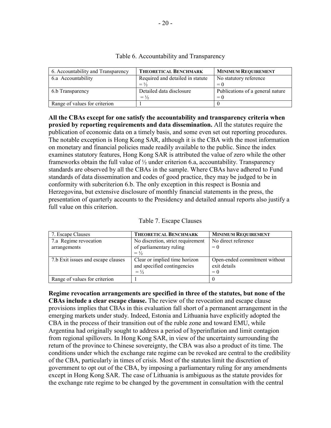| 6. Accountability and Transparency | <b>THEORETICAL BENCHMARK</b>     | <b>MINIMUM REQUIREMENT</b>       |
|------------------------------------|----------------------------------|----------------------------------|
| 6.a Accountability                 | Required and detailed in statute | No statutory reference           |
|                                    | $=$ $\frac{1}{2}$                | $= 0$                            |
| 6.b Transparency                   | Detailed data disclosure         | Publications of a general nature |
|                                    | $=$ $\frac{1}{2}$                | $= 0$                            |
| Range of values for criterion      |                                  |                                  |

## Table 6. Accountability and Transparency

**All the CBAs except for one satisfy the accountability and transparency criteria when proxied by reporting requirements and data dissemination.** All the statutes require the publication of economic data on a timely basis, and some even set out reporting procedures. The notable exception is Hong Kong SAR, although it is the CBA with the most information on monetary and financial policies made readily available to the public. Since the index examines statutory features, Hong Kong SAR is attributed the value of zero while the other frameworks obtain the full value of ½ under criterion 6.a, accountability. Transparency standards are observed by all the CBAs in the sample. Where CBAs have adhered to Fund standards of data dissemination and codes of good practice, they may be judged to be in conformity with subcriterion 6.b. The only exception in this respect is Bosnia and Herzegovina, but extensive disclosure of monthly financial statements in the press, the presentation of quarterly accounts to the Presidency and detailed annual reports also justify a full value on this criterion.

| 7. Escape Clauses                  | <b>THEORETICAL BENCHMARK</b>      | <b>MINIMUM REQUIREMENT</b>    |
|------------------------------------|-----------------------------------|-------------------------------|
| 7.a Regime revocation              | No discretion, strict requirement | No direct reference           |
| arrangements                       | of parliamentary ruling           | $= 0$                         |
|                                    | $=$ $\frac{1}{2}$                 |                               |
| 7.b Exit issues and escape clauses | Clear or implied time horizon     | Open-ended commitment without |
|                                    | and specified contingencies       | exit details                  |
|                                    | $=$ $\frac{1}{2}$                 | $= 0$                         |
| Range of values for criterion      |                                   |                               |

**Regime revocation arrangements are specified in three of the statutes, but none of the CBAs include a clear escape clause.** The review of the revocation and escape clause provisions implies that CBAs in this evaluation fall short of a permanent arrangement in the emerging markets under study. Indeed, Estonia and Lithuania have explicitly adopted the CBA in the process of their transition out of the ruble zone and toward EMU, while Argentina had originally sought to address a period of hyperinflation and limit contagion from regional spillovers. In Hong Kong SAR, in view of the uncertainty surrounding the return of the province to Chinese sovereignty, the CBA was also a product of its time. The conditions under which the exchange rate regime can be revoked are central to the credibility of the CBA, particularly in times of crisis. Most of the statutes limit the discretion of government to opt out of the CBA, by imposing a parliamentary ruling for any amendments except in Hong Kong SAR. The case of Lithuania is ambiguous as the statute provides for the exchange rate regime to be changed by the government in consultation with the central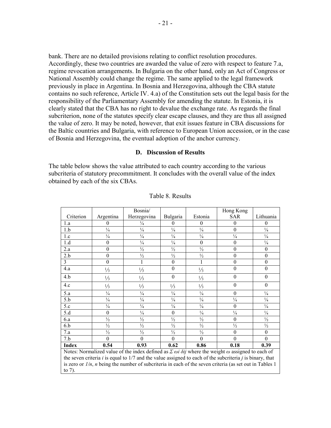bank. There are no detailed provisions relating to conflict resolution procedures. Accordingly, these two countries are awarded the value of zero with respect to feature 7.a, regime revocation arrangements. In Bulgaria on the other hand, only an Act of Congress or National Assembly could change the regime. The same applied to the legal framework previously in place in Argentina. In Bosnia and Herzegovina, although the CBA statute contains no such reference, Article IV. 4.a) of the Constitution sets out the legal basis for the responsibility of the Parliamentary Assembly for amending the statute. In Estonia, it is clearly stated that the CBA has no right to devalue the exchange rate. As regards the final subcriterion, none of the statutes specify clear escape clauses, and they are thus all assigned the value of zero. It may be noted, however, that exit issues feature in CBA discussions for the Baltic countries and Bulgaria, with reference to European Union accession, or in the case of Bosnia and Herzegovina, the eventual adoption of the anchor currency.

#### **D. Discussion of Results**

The table below shows the value attributed to each country according to the various subcriteria of statutory precommitment. It concludes with the overall value of the index obtained by each of the six CBAs.

|                                                                                                                         |                  | Bosnia/                                                                                                    |                  |               | Hong Kong     |                  |
|-------------------------------------------------------------------------------------------------------------------------|------------------|------------------------------------------------------------------------------------------------------------|------------------|---------------|---------------|------------------|
| Criterion                                                                                                               | Argentina        | Herzegovina                                                                                                | Bulgaria         | Estonia       | <b>SAR</b>    | Lithuania        |
| 1.a                                                                                                                     | 0                | $\frac{1}{4}$                                                                                              | $\theta$         | 0             | 0             | $\theta$         |
| 1.b                                                                                                                     | $\frac{1}{4}$    | $\frac{1}{4}$                                                                                              | $\frac{1}{4}$    | $\frac{1}{4}$ | $\theta$      | $\frac{1}{4}$    |
| 1.c                                                                                                                     | $\frac{1}{4}$    | $\frac{1}{4}$                                                                                              | $\frac{1}{4}$    | $\frac{1}{4}$ | $\frac{1}{4}$ | $\frac{1}{4}$    |
| 1.d                                                                                                                     | $\overline{0}$   | $\frac{1}{4}$                                                                                              | $\frac{1}{4}$    | $\theta$      | $\theta$      | $\frac{1}{4}$    |
| 2.a                                                                                                                     | $\boldsymbol{0}$ | $\frac{1}{2}$                                                                                              | $\frac{1}{2}$    | $\frac{1}{2}$ | $\theta$      | $\boldsymbol{0}$ |
| 2.b                                                                                                                     | $\theta$         | $\frac{1}{2}$                                                                                              | $\frac{1}{2}$    | $\frac{1}{2}$ | $\theta$      | $\theta$         |
| 3                                                                                                                       | $\boldsymbol{0}$ |                                                                                                            | $\boldsymbol{0}$ |               | $\theta$      | $\theta$         |
| 4.a                                                                                                                     | $\frac{1}{3}$    | $\frac{1}{3}$                                                                                              | $\mathbf{0}$     | $\frac{1}{3}$ | $\theta$      | $\theta$         |
| 4.b                                                                                                                     | $\frac{1}{3}$    | $\frac{1}{3}$                                                                                              | $\theta$         | $\frac{1}{3}$ | $\theta$      | $\theta$         |
| 4.c                                                                                                                     | $\frac{1}{3}$    | $\frac{1}{3}$                                                                                              | $\frac{1}{3}$    | $\frac{1}{3}$ | 0             | $\theta$         |
| 5.a                                                                                                                     | $\frac{1}{4}$    | $\frac{1}{4}$                                                                                              | $\frac{1}{4}$    | $\frac{1}{4}$ | $\theta$      | $\frac{1}{4}$    |
| 5.b                                                                                                                     | $\frac{1}{4}$    | $\frac{1}{4}$                                                                                              | $\frac{1}{4}$    | $\frac{1}{4}$ | $\frac{1}{4}$ | $\frac{1}{4}$    |
| 5.c                                                                                                                     | $\frac{1}{4}$    | $\frac{1}{4}$                                                                                              | $\frac{1}{4}$    | $\frac{1}{4}$ | $\theta$      | $\frac{1}{4}$    |
| 5.d                                                                                                                     | $\theta$         | $\frac{1}{4}$                                                                                              | $\boldsymbol{0}$ | $\frac{1}{4}$ | $\frac{1}{4}$ | $\frac{1}{4}$    |
| 6.a                                                                                                                     | $\frac{1}{2}$    | $\frac{1}{2}$                                                                                              | $\frac{1}{2}$    | $\frac{1}{2}$ | $\theta$      | $\frac{1}{2}$    |
| 6.b                                                                                                                     | $\frac{1}{2}$    | $\frac{1}{2}$                                                                                              | $\frac{1}{2}$    | $\frac{1}{2}$ | $\frac{1}{2}$ | $\frac{1}{2}$    |
| 7.a                                                                                                                     | $\frac{1}{2}$    | $\frac{1}{2}$                                                                                              | $\frac{1}{2}$    | $\frac{1}{2}$ | $\theta$      | $\boldsymbol{0}$ |
| 7.b                                                                                                                     | $\theta$         | $\Omega$                                                                                                   | $\theta$         | $\theta$      | $\Omega$      | $\theta$         |
| <b>Index</b>                                                                                                            | 0.54             | 0.93                                                                                                       | 0.62             | 0.86          | 0.18          | 0.39             |
| Notes: Normalized value of the index defined as $\sum \omega i \delta ij$ where the weight $\omega$ assigned to each of |                  |                                                                                                            |                  |               |               |                  |
|                                                                                                                         |                  | the seven criteria i is equal to $1/7$ and the value assigned to each of the subcriteria j is binary, that |                  |               |               |                  |
| is zero or $1/n$ <i>n</i> being the number of subcriteria in each of the seven criteria (as set out in Tables 1)        |                  |                                                                                                            |                  |               |               |                  |

#### Table 8. Results

is or *1/n*, *n* being the number of subcriteria in each of the seven criteria (as set out in Tables 1

to 7).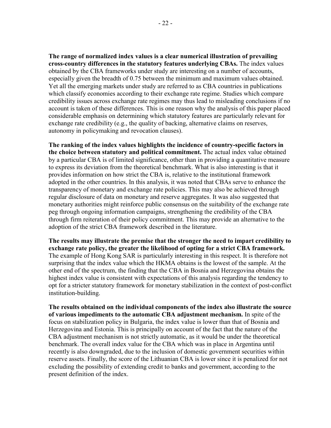**The range of normalized index values is a clear numerical illustration of prevailing cross-country differences in the statutory features underlying CBAs.** The index values obtained by the CBA frameworks under study are interesting on a number of accounts, especially given the breadth of 0.75 between the minimum and maximum values obtained. Yet all the emerging markets under study are referred to as CBA countries in publications which classify economies according to their exchange rate regime. Studies which compare credibility issues across exchange rate regimes may thus lead to misleading conclusions if no account is taken of these differences. This is one reason why the analysis of this paper placed considerable emphasis on determining which statutory features are particularly relevant for exchange rate credibility (e.g., the quality of backing, alternative claims on reserves, autonomy in policymaking and revocation clauses).

**The ranking of the index values highlights the incidence of country-specific factors in the choice between statutory and political commitment.** The actual index value obtained by a particular CBA is of limited significance, other than in providing a quantitative measure to express its deviation from the theoretical benchmark. What is also interesting is that it provides information on how strict the CBA is, relative to the institutional framework adopted in the other countries. In this analysis, it was noted that CBAs serve to enhance the transparency of monetary and exchange rate policies. This may also be achieved through regular disclosure of data on monetary and reserve aggregates. It was also suggested that monetary authorities might reinforce public consensus on the suitability of the exchange rate peg through ongoing information campaigns, strengthening the credibility of the CBA through firm reiteration of their policy commitment. This may provide an alternative to the adoption of the strict CBA framework described in the literature.

**The results may illustrate the premise that the stronger the need to impart credibility to exchange rate policy, the greater the likelihood of opting for a strict CBA framework.**  The example of Hong Kong SAR is particularly interesting in this respect. It is therefore not surprising that the index value which the HKMA obtains is the lowest of the sample. At the other end of the spectrum, the finding that the CBA in Bosnia and Herzegovina obtains the highest index value is consistent with expectations of this analysis regarding the tendency to opt for a stricter statutory framework for monetary stabilization in the context of post-conflict institution-building.

**The results obtained on the individual components of the index also illustrate the source of various impediments to the automatic CBA adjustment mechanism.** In spite of the focus on stabilization policy in Bulgaria, the index value is lower than that of Bosnia and Herzegovina and Estonia. This is principally on account of the fact that the nature of the CBA adjustment mechanism is not strictly automatic, as it would be under the theoretical benchmark. The overall index value for the CBA which was in place in Argentina until recently is also downgraded, due to the inclusion of domestic government securities within reserve assets. Finally, the score of the Lithuanian CBA is lower since it is penalized for not excluding the possibility of extending credit to banks and government, according to the present definition of the index.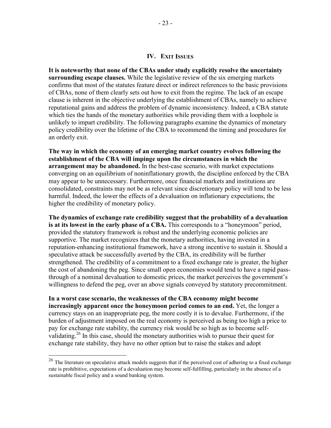#### **IV. EXIT ISSUES**

**It is noteworthy that none of the CBAs under study explicitly resolve the uncertainty surrounding escape clauses.** While the legislative review of the six emerging markets confirms that most of the statutes feature direct or indirect references to the basic provisions of CBAs, none of them clearly sets out how to exit from the regime. The lack of an escape clause is inherent in the objective underlying the establishment of CBAs, namely to achieve reputational gains and address the problem of dynamic inconsistency. Indeed, a CBA statute which ties the hands of the monetary authorities while providing them with a loophole is unlikely to impart credibility. The following paragraphs examine the dynamics of monetary policy credibility over the lifetime of the CBA to recommend the timing and procedures for an orderly exit.

**The way in which the economy of an emerging market country evolves following the establishment of the CBA will impinge upon the circumstances in which the arrangement may be abandoned.** In the best-case scenario, with market expectations converging on an equilibrium of noninflationary growth, the discipline enforced by the CBA may appear to be unnecessary. Furthermore, once financial markets and institutions are consolidated, constraints may not be as relevant since discretionary policy will tend to be less harmful. Indeed, the lower the effects of a devaluation on inflationary expectations, the higher the credibility of monetary policy.

**The dynamics of exchange rate credibility suggest that the probability of a devaluation is at its lowest in the early phase of a CBA.** This corresponds to a "honeymoon" period, provided the statutory framework is robust and the underlying economic policies are supportive. The market recognizes that the monetary authorities, having invested in a reputation-enhancing institutional framework, have a strong incentive to sustain it. Should a speculative attack be successfully averted by the CBA, its credibility will be further strengthened. The credibility of a commitment to a fixed exchange rate is greater, the higher the cost of abandoning the peg. Since small open economies would tend to have a rapid passthrough of a nominal devaluation to domestic prices, the market perceives the government's willingness to defend the peg, over an above signals conveyed by statutory precommitment.

**In a worst case scenario, the weaknesses of the CBA economy might become increasingly apparent once the honeymoon period comes to an end.** Yet, the longer a currency stays on an inappropriate peg, the more costly it is to devalue. Furthermore, if the burden of adjustment imposed on the real economy is perceived as being too high a price to pay for exchange rate stability, the currency risk would be so high as to become selfvalidating.<sup>26</sup> In this case, should the monetary authorities wish to pursue their quest for exchange rate stability, they have no other option but to raise the stakes and adopt

 $^{26}$  The literature on speculative attack models suggests that if the perceived cost of adhering to a fixed exchange rate is prohibitive, expectations of a devaluation may become self-fulfilling, particularly in the absence of a sustainable fiscal policy and a sound banking system.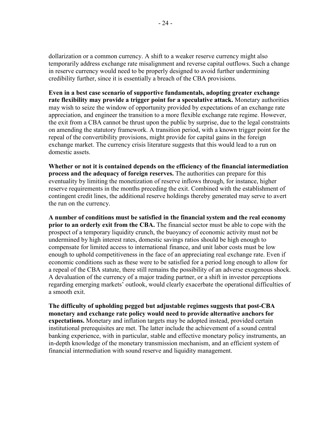dollarization or a common currency. A shift to a weaker reserve currency might also temporarily address exchange rate misalignment and reverse capital outflows. Such a change in reserve currency would need to be properly designed to avoid further undermining credibility further, since it is essentially a breach of the CBA provisions.

**Even in a best case scenario of supportive fundamentals, adopting greater exchange rate flexibility may provide a trigger point for a speculative attack.** Monetary authorities may wish to seize the window of opportunity provided by expectations of an exchange rate appreciation, and engineer the transition to a more flexible exchange rate regime. However, the exit from a CBA cannot be thrust upon the public by surprise, due to the legal constraints on amending the statutory framework. A transition period, with a known trigger point for the repeal of the convertibility provisions, might provide for capital gains in the foreign exchange market. The currency crisis literature suggests that this would lead to a run on domestic assets.

**Whether or not it is contained depends on the efficiency of the financial intermediation process and the adequacy of foreign reserves.** The authorities can prepare for this eventuality by limiting the monetization of reserve inflows through, for instance, higher reserve requirements in the months preceding the exit. Combined with the establishment of contingent credit lines, the additional reserve holdings thereby generated may serve to avert the run on the currency.

**A number of conditions must be satisfied in the financial system and the real economy prior to an orderly exit from the CBA.** The financial sector must be able to cope with the prospect of a temporary liquidity crunch, the buoyancy of economic activity must not be undermined by high interest rates, domestic savings ratios should be high enough to compensate for limited access to international finance, and unit labor costs must be low enough to uphold competitiveness in the face of an appreciating real exchange rate. Even if economic conditions such as these were to be satisfied for a period long enough to allow for a repeal of the CBA statute, there still remains the possibility of an adverse exogenous shock. A devaluation of the currency of a major trading partner, or a shift in investor perceptions regarding emerging markets' outlook, would clearly exacerbate the operational difficulties of a smooth exit.

**The difficulty of upholding pegged but adjustable regimes suggests that post-CBA monetary and exchange rate policy would need to provide alternative anchors for expectations.** Monetary and inflation targets may be adopted instead, provided certain institutional prerequisites are met. The latter include the achievement of a sound central banking experience, with in particular, stable and effective monetary policy instruments, an in-depth knowledge of the monetary transmission mechanism, and an efficient system of financial intermediation with sound reserve and liquidity management.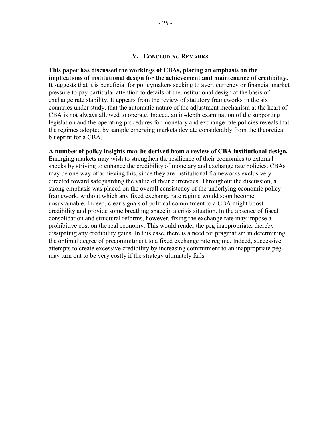#### **V. CONCLUDING REMARKS**

**This paper has discussed the workings of CBAs, placing an emphasis on the implications of institutional design for the achievement and maintenance of credibility.** It suggests that it is beneficial for policymakers seeking to avert currency or financial market pressure to pay particular attention to details of the institutional design at the basis of exchange rate stability. It appears from the review of statutory frameworks in the six countries under study, that the automatic nature of the adjustment mechanism at the heart of CBA is not always allowed to operate. Indeed, an in-depth examination of the supporting legislation and the operating procedures for monetary and exchange rate policies reveals that the regimes adopted by sample emerging markets deviate considerably from the theoretical blueprint for a CBA.

**A number of policy insights may be derived from a review of CBA institutional design.**  Emerging markets may wish to strengthen the resilience of their economies to external shocks by striving to enhance the credibility of monetary and exchange rate policies. CBAs may be one way of achieving this, since they are institutional frameworks exclusively directed toward safeguarding the value of their currencies. Throughout the discussion, a strong emphasis was placed on the overall consistency of the underlying economic policy framework, without which any fixed exchange rate regime would soon become unsustainable. Indeed, clear signals of political commitment to a CBA might boost credibility and provide some breathing space in a crisis situation. In the absence of fiscal consolidation and structural reforms, however, fixing the exchange rate may impose a prohibitive cost on the real economy. This would render the peg inappropriate, thereby dissipating any credibility gains. In this case, there is a need for pragmatism in determining the optimal degree of precommitment to a fixed exchange rate regime. Indeed, successive attempts to create excessive credibility by increasing commitment to an inappropriate peg may turn out to be very costly if the strategy ultimately fails.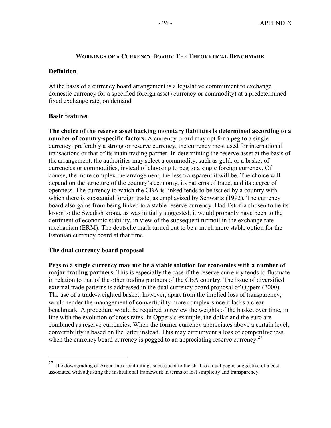#### **WORKINGS OF A CURRENCY BOARD: THE THEORETICAL BENCHMARK**

#### **Definition**

At the basis of a currency board arrangement is a legislative commitment to exchange domestic currency for a specified foreign asset (currency or commodity) at a predetermined fixed exchange rate, on demand.

#### **Basic features**

1

**The choice of the reserve asset backing monetary liabilities is determined according to a number of country-specific factors.** A currency board may opt for a peg to a single currency, preferably a strong or reserve currency, the currency most used for international transactions or that of its main trading partner. In determining the reserve asset at the basis of the arrangement, the authorities may select a commodity, such as gold, or a basket of currencies or commodities, instead of choosing to peg to a single foreign currency. Of course, the more complex the arrangement, the less transparent it will be. The choice will depend on the structure of the country's economy, its patterns of trade, and its degree of openness. The currency to which the CBA is linked tends to be issued by a country with which there is substantial foreign trade, as emphasized by Schwartz (1992). The currency board also gains from being linked to a stable reserve currency. Had Estonia chosen to tie its kroon to the Swedish krona, as was initially suggested, it would probably have been to the detriment of economic stability, in view of the subsequent turmoil in the exchange rate mechanism (ERM). The deutsche mark turned out to be a much more stable option for the Estonian currency board at that time.

## **The dual currency board proposal**

**Pegs to a single currency may not be a viable solution for economies with a number of major trading partners.** This is especially the case if the reserve currency tends to fluctuate in relation to that of the other trading partners of the CBA country. The issue of diversified external trade patterns is addressed in the dual currency board proposal of Oppers (2000). The use of a trade-weighted basket, however, apart from the implied loss of transparency, would render the management of convertibility more complex since it lacks a clear benchmark. A procedure would be required to review the weights of the basket over time, in line with the evolution of cross rates. In Oppers's example, the dollar and the euro are combined as reserve currencies. When the former currency appreciates above a certain level, convertibility is based on the latter instead. This may circumvent a loss of competitiveness when the currency board currency is pegged to an appreciating reserve currency.<sup>27</sup>

 $27$  The downgrading of Argentine credit ratings subsequent to the shift to a dual peg is suggestive of a cost associated with adjusting the institutional framework in terms of lost simplicity and transparency.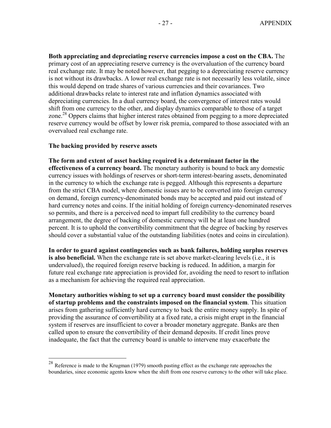**Both appreciating and depreciating reserve currencies impose a cost on the CBA.** The primary cost of an appreciating reserve currency is the overvaluation of the currency board real exchange rate. It may be noted however, that pegging to a depreciating reserve currency is not without its drawbacks. A lower real exchange rate is not necessarily less volatile, since this would depend on trade shares of various currencies and their covariances. Two additional drawbacks relate to interest rate and inflation dynamics associated with depreciating currencies. In a dual currency board, the convergence of interest rates would shift from one currency to the other, and display dynamics comparable to those of a target zone.<sup>28</sup> Oppers claims that higher interest rates obtained from pegging to a more depreciated reserve currency would be offset by lower risk premia, compared to those associated with an overvalued real exchange rate.

#### **The backing provided by reserve assets**

 $\overline{a}$ 

**The form and extent of asset backing required is a determinant factor in the effectiveness of a currency board.** The monetary authority is bound to back any domestic currency issues with holdings of reserves or short-term interest-bearing assets, denominated in the currency to which the exchange rate is pegged. Although this represents a departure from the strict CBA model, where domestic issues are to be converted into foreign currency on demand, foreign currency-denominated bonds may be accepted and paid out instead of hard currency notes and coins. If the initial holding of foreign currency-denominated reserves so permits, and there is a perceived need to impart full credibility to the currency board arrangement, the degree of backing of domestic currency will be at least one hundred percent. It is to uphold the convertibility commitment that the degree of backing by reserves should cover a substantial value of the outstanding liabilities (notes and coins in circulation).

**In order to guard against contingencies such as bank failures, holding surplus reserves is also beneficial.** When the exchange rate is set above market-clearing levels (i.e., it is undervalued), the required foreign reserve backing is reduced. In addition, a margin for future real exchange rate appreciation is provided for, avoiding the need to resort to inflation as a mechanism for achieving the required real appreciation.

**Monetary authorities wishing to set up a currency board must consider the possibility of startup problems and the constraints imposed on the financial system**. This situation arises from gathering sufficiently hard currency to back the entire money supply. In spite of providing the assurance of convertibility at a fixed rate, a crisis might erupt in the financial system if reserves are insufficient to cover a broader monetary aggregate. Banks are then called upon to ensure the convertibility of their demand deposits. If credit lines prove inadequate, the fact that the currency board is unable to intervene may exacerbate the

<sup>&</sup>lt;sup>28</sup> Reference is made to the Krugman (1979) smooth pasting effect as the exchange rate approaches the boundaries, since economic agents know when the shift from one reserve currency to the other will take place.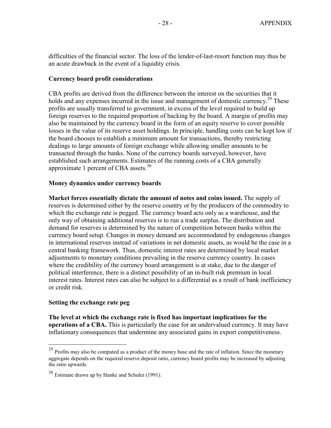difficulties of the financial sector. The loss of the lender-of-last-resort function may thus be an acute drawback in the event of a liquidity crisis.

#### **Currency board profit considerations**

CBA profits are derived from the difference between the interest on the securities that it holds and any expenses incurred in the issue and management of domestic currency.<sup>29</sup> These profits are usually transferred to government, in excess of the level required to build up foreign reserves to the required proportion of backing by the board. A margin of profits may also be maintained by the currency board in the form of an equity reserve to cover possible losses in the value of its reserve asset holdings. In principle, handling costs can be kept low if the board chooses to establish a minimum amount for transactions, thereby restricting dealings to large amounts of foreign exchange while allowing smaller amounts to be transacted through the banks. None of the currency boards surveyed, however, have established such arrangements. Estimates of the running costs of a CBA generally approximate 1 percent of CBA assets.<sup>30</sup>

#### **Money dynamics under currency boards**

**Market forces essentially dictate the amount of notes and coins issued.** The supply of reserves is determined either by the reserve country or by the producers of the commodity to which the exchange rate is pegged. The currency board acts only as a warehouse, and the only way of obtaining additional reserves is to run a trade surplus. The distribution and demand for reserves is determined by the nature of competition between banks within the currency board setup. Changes in money demand are accommodated by endogenous changes in international reserves instead of variations in net domestic assets, as would be the case in a central banking framework. Thus, domestic interest rates are determined by local market adjustments to monetary conditions prevailing in the reserve currency country. In cases where the credibility of the currency board arrangement is at stake, due to the danger of political interference, there is a distinct possibility of an in-built risk premium in local interest rates. Interest rates can also be subject to a differential as a result of bank inefficiency or credit risk.

#### **Setting the exchange rate peg**

1

**The level at which the exchange rate is fixed has important implications for the operations of a CBA.** This is particularly the case for an undervalued currency. It may have inflationary consequences that undermine any associated gains in export competitiveness.

 $29$  Profits may also be computed as a product of the money base and the rate of inflation. Since the monetary aggregate depends on the required reserve deposit ratio, currency board profits may be increased by adjusting the ratio upwards.

<sup>30</sup> Estimate drawn up by Hanke and Schuler (1991).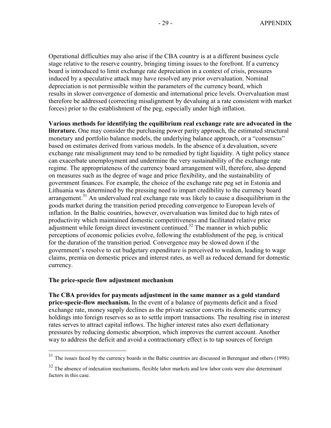Operational difficulties may also arise if the CBA country is at a different business cycle stage relative to the reserve country, bringing timing issues to the forefront. If a currency board is introduced to limit exchange rate depreciation in a context of crisis, pressures induced by a speculative attack may have resolved any prior overvaluation. Nominal depreciation is not permissible within the parameters of the currency board, which results in slower convergence of domestic and international price levels. Overvaluation must therefore be addressed (correcting misalignment by devaluing at a rate consistent with market forces) prior to the establishment of the peg, especially under high inflation.

**Various methods for identifying the equilibrium real exchange rate are advocated in the literature.** One may consider the purchasing power parity approach, the estimated structural monetary and portfolio balance models, the underlying balance approach, or a "consensus" based on estimates derived from various models. In the absence of a devaluation, severe exchange rate misalignment may tend to be remedied by tight liquidity. A tight policy stance can exacerbate unemployment and undermine the very sustainability of the exchange rate regime. The appropriateness of the currency board arrangement will, therefore, also depend on measures such as the degree of wage and price flexibility, and the sustainability of government finances. For example, the choice of the exchange rate peg set in Estonia and Lithuania was determined by the pressing need to impart credibility to the currency board arrangement.<sup>31</sup> An undervalued real exchange rate was likely to cause a disequilibrium in the goods market during the transition period preceding convergence to European levels of inflation. In the Baltic countries, however, overvaluation was limited due to high rates of productivity which maintained domestic competitiveness and facilitated relative price adjustment while foreign direct investment continued.<sup>32</sup> The manner in which public perceptions of economic policies evolve, following the establishment of the peg, is critical for the duration of the transition period. Convergence may be slowed down if the government's resolve to cut budgetary expenditure is perceived to weaken, leading to wage claims, premia on domestic prices and interest rates, as well as reduced demand for domestic currency.

## **The price-specie flow adjustment mechanism**

<u>.</u>

**The CBA provides for payments adjustment in the same manner as a gold standard price-specie-flow mechanism.** In the event of a balance of payments deficit and a fixed exchange rate, money supply declines as the private sector converts its domestic currency holdings into foreign reserves so as to settle import transactions. The resulting rise in interest rates serves to attract capital inflows. The higher interest rates also exert deflationary pressures by reducing domestic absorption, which improves the current account. Another way to address the deficit and avoid a contractionary effect is to tap sources of foreign

 $31$  The issues faced by the currency boards in the Baltic countries are discussed in Berengaut and others (1998).

 $32$  The absence of indexation mechanisms, flexible labor markets and low labor costs were also determinant factors in this case.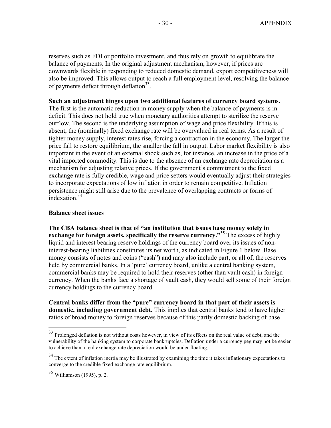reserves such as FDI or portfolio investment, and thus rely on growth to equilibrate the balance of payments. In the original adjustment mechanism, however, if prices are downwards flexible in responding to reduced domestic demand, export competitiveness will also be improved. This allows output to reach a full employment level, resolving the balance of payments deficit through deflation $33$ .

## **Such an adjustment hinges upon two additional features of currency board systems.**

The first is the automatic reduction in money supply when the balance of payments is in deficit. This does not hold true when monetary authorities attempt to sterilize the reserve outflow. The second is the underlying assumption of wage and price flexibility. If this is absent, the (nominally) fixed exchange rate will be overvalued in real terms. As a result of tighter money supply, interest rates rise, forcing a contraction in the economy. The larger the price fall to restore equilibrium, the smaller the fall in output. Labor market flexibility is also important in the event of an external shock such as, for instance, an increase in the price of a vital imported commodity. This is due to the absence of an exchange rate depreciation as a mechanism for adjusting relative prices. If the government's commitment to the fixed exchange rate is fully credible, wage and price setters would eventually adjust their strategies to incorporate expectations of low inflation in order to remain competitive. Inflation persistence might still arise due to the prevalence of overlapping contracts or forms of indexation.<sup>34</sup>

#### **Balance sheet issues**

**The CBA balance sheet is that of "an institution that issues base money solely in exchange for foreign assets, specifically the reserve currency."<sup>35</sup>** The excess of highly liquid and interest bearing reserve holdings of the currency board over its issues of noninterest-bearing liabilities constitutes its net worth, as indicated in Figure 1 below. Base money consists of notes and coins ("cash") and may also include part, or all of, the reserves held by commercial banks. In a 'pure' currency board, unlike a central banking system, commercial banks may be required to hold their reserves (other than vault cash) in foreign currency. When the banks face a shortage of vault cash, they would sell some of their foreign currency holdings to the currency board.

**Central banks differ from the "pure" currency board in that part of their assets is domestic, including government debt.** This implies that central banks tend to have higher ratios of broad money to foreign reserves because of this partly domestic backing of base

 $33$  Prolonged deflation is not without costs however, in view of its effects on the real value of debt, and the vulnerability of the banking system to corporate bankruptcies. Deflation under a currency peg may not be easier to achieve than a real exchange rate depreciation would be under floating.

<sup>&</sup>lt;sup>34</sup> The extent of inflation inertia may be illustrated by examining the time it takes inflationary expectations to converge to the credible fixed exchange rate equilibrium.

<sup>35</sup> Williamson (1995), p. 2.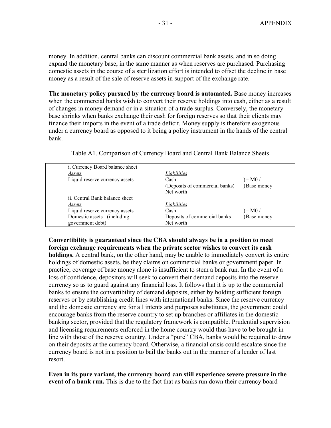money. In addition, central banks can discount commercial bank assets, and in so doing expand the monetary base, in the same manner as when reserves are purchased. Purchasing domestic assets in the course of a sterilization effort is intended to offset the decline in base money as a result of the sale of reserve assets in support of the exchange rate.

**The monetary policy pursued by the currency board is automated.** Base money increases when the commercial banks wish to convert their reserve holdings into cash, either as a result of changes in money demand or in a situation of a trade surplus. Conversely, the monetary base shrinks when banks exchange their cash for foreign reserves so that their clients may finance their imports in the event of a trade deficit. Money supply is therefore exogenous under a currency board as opposed to it being a policy instrument in the hands of the central bank.

| i. Currency Board balance sheet |                                |                   |
|---------------------------------|--------------------------------|-------------------|
| Assets                          | Liabilities                    |                   |
| Liquid reserve currency assets  | Cash                           | $= M0 /$          |
|                                 | (Deposits of commercial banks) | <b>Base money</b> |
|                                 | Net worth                      |                   |
| ii. Central Bank balance sheet  |                                |                   |
| Assets                          | Liabilities                    |                   |
| Liquid reserve currency assets  | Cash                           | $\uparrow$ = M0 / |
| Domestic assets (including)     | Deposits of commercial banks   | <b>Base money</b> |
| government debt)                | Net worth                      |                   |

Table A1. Comparison of Currency Board and Central Bank Balance Sheets

**Convertibility is guaranteed since the CBA should always be in a position to meet foreign exchange requirements when the private sector wishes to convert its cash holdings.** A central bank, on the other hand, may be unable to immediately convert its entire holdings of domestic assets, be they claims on commercial banks or government paper. In practice, coverage of base money alone is insufficient to stem a bank run. In the event of a loss of confidence, depositors will seek to convert their demand deposits into the reserve currency so as to guard against any financial loss. It follows that it is up to the commercial banks to ensure the convertibility of demand deposits, either by holding sufficient foreign reserves or by establishing credit lines with international banks. Since the reserve currency and the domestic currency are for all intents and purposes substitutes, the government could encourage banks from the reserve country to set up branches or affiliates in the domestic banking sector, provided that the regulatory framework is compatible. Prudential supervision and licensing requirements enforced in the home country would thus have to be brought in line with those of the reserve country. Under a "pure" CBA, banks would be required to draw on their deposits at the currency board. Otherwise, a financial crisis could escalate since the currency board is not in a position to bail the banks out in the manner of a lender of last resort.

**Even in its pure variant, the currency board can still experience severe pressure in the event of a bank run.** This is due to the fact that as banks run down their currency board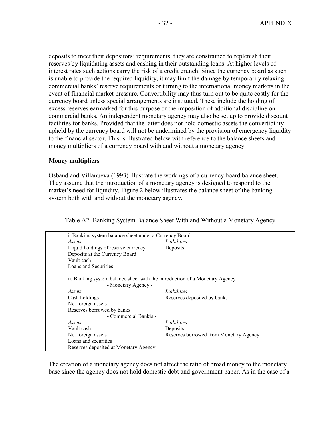deposits to meet their depositors' requirements, they are constrained to replenish their reserves by liquidating assets and cashing in their outstanding loans. At higher levels of interest rates such actions carry the risk of a credit crunch. Since the currency board as such is unable to provide the required liquidity, it may limit the damage by temporarily relaxing commercial banks' reserve requirements or turning to the international money markets in the event of financial market pressure. Convertibility may thus turn out to be quite costly for the currency board unless special arrangements are instituted. These include the holding of excess reserves earmarked for this purpose or the imposition of additional discipline on commercial banks. An independent monetary agency may also be set up to provide discount facilities for banks. Provided that the latter does not hold domestic assets the convertibility upheld by the currency board will not be undermined by the provision of emergency liquidity to the financial sector. This is illustrated below with reference to the balance sheets and money multipliers of a currency board with and without a monetary agency.

#### **Money multipliers**

Osband and Villanueva (1993) illustrate the workings of a currency board balance sheet. They assume that the introduction of a monetary agency is designed to respond to the market's need for liquidity. Figure 2 below illustrates the balance sheet of the banking system both with and without the monetary agency.

Table A2. Banking System Balance Sheet With and Without a Monetary Agency

| i. Banking system balance sheet under a Currency Board                                             |                                        |  |
|----------------------------------------------------------------------------------------------------|----------------------------------------|--|
| Assets                                                                                             | <b>Liabilities</b>                     |  |
| Liquid holdings of reserve currency                                                                | Deposits                               |  |
| Deposits at the Currency Board                                                                     |                                        |  |
| Vault cash                                                                                         |                                        |  |
| Loans and Securities                                                                               |                                        |  |
| ii. Banking system balance sheet with the introduction of a Monetary Agency<br>- Monetary Agency - |                                        |  |
| Assets                                                                                             | Liabilities                            |  |
| Cash holdings                                                                                      | Reserves deposited by banks            |  |
| Net foreign assets                                                                                 |                                        |  |
| Reserves borrowed by banks                                                                         |                                        |  |
| - Commercial Bankis -                                                                              |                                        |  |
| Assets                                                                                             | Liabilities                            |  |
| Vault cash                                                                                         | Deposits                               |  |
| Net foreign assets                                                                                 | Reserves borrowed from Monetary Agency |  |
| Loans and securities                                                                               |                                        |  |
| Reserves deposited at Monetary Agency                                                              |                                        |  |

The creation of a monetary agency does not affect the ratio of broad money to the monetary base since the agency does not hold domestic debt and government paper. As in the case of a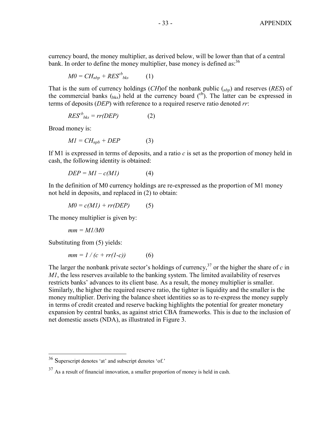currency board, the money multiplier, as derived below, will be lower than that of a central bank. In order to define the money multiplier, base money is defined as:  $36$ 

$$
M0 = CH_{nbp} + RES^{cb}{}_{bks} \tag{1}
$$

That is the sum of currency holdings (*CH*)of the nonbank public (*nbp*) and reserves (*RES*) of the commercial banks  $_{\text{(bks)}}$  held at the currency board  $\binom{cb}{c}$ . The latter can be expressed in terms of deposits (*DEP*) with reference to a required reserve ratio denoted *rr*:

$$
RES^{cb}{}_{bks} = rr(DEP) \tag{2}
$$

Broad money is:

$$
MI = CH_{npb} + DEP \tag{3}
$$

If M1 is expressed in terms of deposits, and a ratio *c* is set as the proportion of money held in cash, the following identity is obtained:

$$
DEP = M1 - c(M1) \tag{4}
$$

In the definition of M0 currency holdings are re-expressed as the proportion of M1 money not held in deposits, and replaced in (2) to obtain:

$$
M0 = c(M1) + rr(DEP) \tag{5}
$$

The money multiplier is given by:

$$
mm = M1/M0
$$

Substituting from (5) yields:

 $\overline{a}$ 

$$
mm = 1/(c + rr(l-c)) \tag{6}
$$

The larger the nonbank private sector's holdings of currency,<sup>37</sup> or the higher the share of  $c$  in *M1*, the less reserves available to the banking system. The limited availability of reserves restricts banks' advances to its client base. As a result, the money multiplier is smaller. Similarly, the higher the required reserve ratio, the tighter is liquidity and the smaller is the money multiplier. Deriving the balance sheet identities so as to re-express the money supply in terms of credit created and reserve backing highlights the potential for greater monetary expansion by central banks, as against strict CBA frameworks. This is due to the inclusion of net domestic assets (NDA), as illustrated in Figure 3.

 $36$  Superscript denotes 'at' and subscript denotes 'of.'

 $37$  As a result of financial innovation, a smaller proportion of money is held in cash.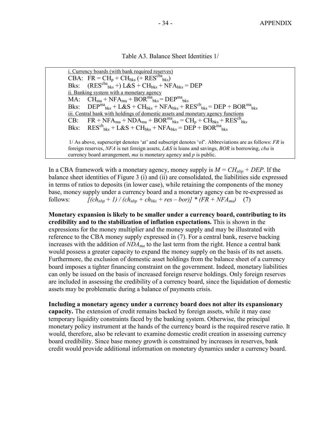Table A3. Balance Sheet Identities 1/

i. Currency boards (with bank required reserves) CBA:  $\overline{FR} = \overline{CH}_p + \overline{CH}_{bks} \left( + \overline{RES}^{cba}{}_{bks} \right)}$ Bks:  $(RES^{cba}{}_{bks}^+ +) L&S + CH_{bks} + NFA_{bks} = DEP$ ii. Banking system with a monetary agency  $\overline{MA:}$   $\overline{CH}_{ma} + \overline{NFA}_{ma} + \overline{BOR}^{ma}{}_{bks} = \overline{DEP}^{ma}{}_{bks}$ Bks:  $\text{DEP}^{\text{ma}}_{\text{bks}} + \text{L}\&\text{S} + \text{CH}_{\text{bks}} + \text{NFA}_{\text{bks}} + \text{RES}^{\text{cb}}_{\text{bks}} = \text{DEP} + \text{BOR}^{\text{ma}}_{\text{bks}}$ iii. Central bank with holdings of domestic assets and monetary agency functions  $CB: \quad FR + NFA_{ma} + NDA_{ma} + BOR^{ma}$ <sub>bks</sub> =  $CH_p + CH_{bks} + RES^{cb}$ <sub>bks</sub> Bks:  $RES^{cb}{}_{bks} + L&S + CH_{bks} + NFA_{bks} = DEP + BOR^{ma}{}_{bks}$ 1/ As above, superscript denotes 'at' and subscript denotes 'of'. Abbreviations are as follows: *FR* is

foreign reserves, *NFA* is net foreign assets, *L&S* is loans and savings, *BOR* is borrowing, *cba* is currency board arrangement, *ma* is monetary agency and *p* is public.

In a CBA framework with a monetary agency, money supply is  $M = CH_{nbp} + DEP$ . If the balance sheet identities of Figure 3 (i) and (ii) are consolidated, the liabilities side expressed in terms of ratios to deposits (in lower case), while retaining the components of the money base, money supply under a currency board and a monetary agency can be re-expressed as follows:  $[(ch_{nbp} + 1)/(ch_{nbp} + ch_{bks} + res - bor)] * (FR + NFA_{ma})$  (7)

**Monetary expansion is likely to be smaller under a currency board, contributing to its credibility and to the stabilization of inflation expectations.** This is shown in the expressions for the money multiplier and the money supply and may be illustrated with reference to the CBA money supply expressed in (7). For a central bank, reserve backing increases with the addition of *NDAma* to the last term from the right. Hence a central bank would possess a greater capacity to expand the money supply on the basis of its net assets. Furthermore, the exclusion of domestic asset holdings from the balance sheet of a currency board imposes a tighter financing constraint on the government. Indeed, monetary liabilities can only be issued on the basis of increased foreign reserve holdings. Only foreign reserves are included in assessing the credibility of a currency board, since the liquidation of domestic assets may be problematic during a balance of payments crisis.

**Including a monetary agency under a currency board does not alter its expansionary capacity.** The extension of credit remains backed by foreign assets, while it may ease temporary liquidity constraints faced by the banking system. Otherwise, the principal monetary policy instrument at the hands of the currency board is the required reserve ratio. It would, therefore, also be relevant to examine domestic credit creation in assessing currency board credibility. Since base money growth is constrained by increases in reserves, bank credit would provide additional information on monetary dynamics under a currency board.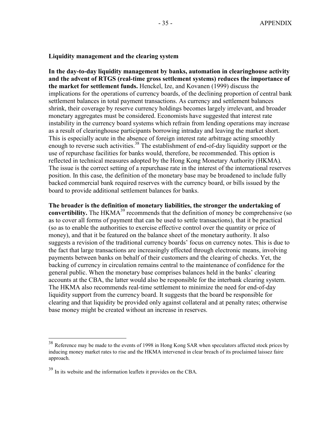#### **Liquidity management and the clearing system**

**In the day-to-day liquidity management by banks, automation in clearinghouse activity and the advent of RTGS (real-time gross settlement systems) reduces the importance of the market for settlement funds.** Henckel, Ize, and Kovanen (1999) discuss the implications for the operations of currency boards, of the declining proportion of central bank settlement balances in total payment transactions. As currency and settlement balances shrink, their coverage by reserve currency holdings becomes largely irrelevant, and broader monetary aggregates must be considered. Economists have suggested that interest rate instability in the currency board systems which refrain from lending operations may increase as a result of clearinghouse participants borrowing intraday and leaving the market short. This is especially acute in the absence of foreign interest rate arbitrage acting smoothly enough to reverse such activities.<sup>38</sup> The establishment of end-of-day liquidity support or the use of repurchase facilities for banks would, therefore, be recommended. This option is reflected in technical measures adopted by the Hong Kong Monetary Authority (HKMA). The issue is the correct setting of a repurchase rate in the interest of the international reserves position. In this case, the definition of the monetary base may be broadened to include fully backed commercial bank required reserves with the currency board, or bills issued by the board to provide additional settlement balances for banks.

**The broader is the definition of monetary liabilities, the stronger the undertaking of convertibility.** The HKMA<sup>39</sup> recommends that the definition of money be comprehensive (so as to cover all forms of payment that can be used to settle transactions), that it be practical (so as to enable the authorities to exercise effective control over the quantity or price of money), and that it be featured on the balance sheet of the monetary authority. It also suggests a revision of the traditional currency boards' focus on currency notes. This is due to the fact that large transactions are increasingly effected through electronic means, involving payments between banks on behalf of their customers and the clearing of checks. Yet, the backing of currency in circulation remains central to the maintenance of confidence for the general public. When the monetary base comprises balances held in the banks' clearing accounts at the CBA, the latter would also be responsible for the interbank clearing system. The HKMA also recommends real-time settlement to minimize the need for end-of-day liquidity support from the currency board. It suggests that the board be responsible for clearing and that liquidity be provided only against collateral and at penalty rates; otherwise base money might be created without an increase in reserves.

<sup>&</sup>lt;sup>38</sup> Reference may be made to the events of 1998 in Hong Kong SAR when speculators affected stock prices by inducing money market rates to rise and the HKMA intervened in clear breach of its proclaimed laissez faire approach.

<sup>39</sup> In its website and the information leaflets it provides on the CBA.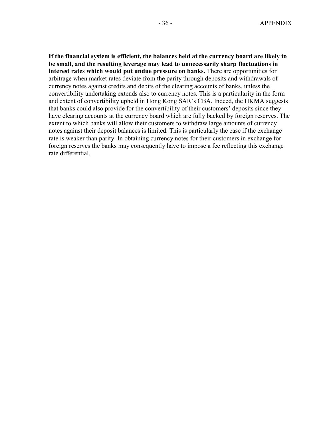**If the financial system is efficient, the balances held at the currency board are likely to be small, and the resulting leverage may lead to unnecessarily sharp fluctuations in interest rates which would put undue pressure on banks.** There are opportunities for arbitrage when market rates deviate from the parity through deposits and withdrawals of currency notes against credits and debits of the clearing accounts of banks, unless the convertibility undertaking extends also to currency notes. This is a particularity in the form and extent of convertibility upheld in Hong Kong SAR's CBA. Indeed, the HKMA suggests that banks could also provide for the convertibility of their customers' deposits since they have clearing accounts at the currency board which are fully backed by foreign reserves. The extent to which banks will allow their customers to withdraw large amounts of currency notes against their deposit balances is limited. This is particularly the case if the exchange rate is weaker than parity. In obtaining currency notes for their customers in exchange for foreign reserves the banks may consequently have to impose a fee reflecting this exchange rate differential.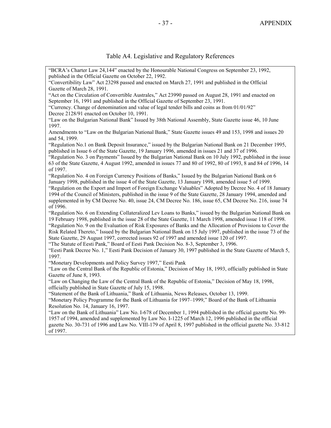# Table A4. Legislative and Regulatory References

| "BCRA's Charter Law 24,144" enacted by the Honourable National Congress on September 23, 1992,<br>published in the Official Gazette on October 22, 1992.                                                    |  |  |  |
|-------------------------------------------------------------------------------------------------------------------------------------------------------------------------------------------------------------|--|--|--|
| "Convertibility Law" Act 23298 passed and enacted on March 27, 1991 and published in the Official                                                                                                           |  |  |  |
| Gazette of March 28, 1991.                                                                                                                                                                                  |  |  |  |
| "Act on the Circulation of Convertible Australes," Act 23990 passed on August 28, 1991 and enacted on                                                                                                       |  |  |  |
| September 16, 1991 and published in the Official Gazette of September 23, 1991.                                                                                                                             |  |  |  |
| "Currency. Change of denomination and value of legal tender bills and coins as from 01/01/92"<br>Decree 2128/91 enacted on October 10, 1991.                                                                |  |  |  |
| "Law on the Bulgarian National Bank" Issued by 38th National Assembly, State Gazette issue 46, 10 June<br>1997.                                                                                             |  |  |  |
| Amendments to "Law on the Bulgarian National Bank," State Gazette issues 49 and 153, 1998 and issues 20<br>and 54, 1999.                                                                                    |  |  |  |
| "Regulation No.1 on Bank Deposit Insurance," issued by the Bulgarian National Bank on 21 December 1995,<br>published in Issue 6 of the State Gazette, 19 January 1996, amended in issues 21 and 37 of 1996. |  |  |  |
| "Regulation No. 3 on Payments" Issued by the Bulgarian National Bank on 10 July 1992, published in the issue                                                                                                |  |  |  |
| 63 of the State Gazette, 4 August 1992, amended in issues 77 and 80 of 1992, 80 of 1993, 8 and 84 of 1996, 14<br>of 1997.                                                                                   |  |  |  |
| "Regulation No. 4 on Foreign Currency Positions of Banks," Issued by the Bulgarian National Bank on 6                                                                                                       |  |  |  |
| January 1998, published in the issue 4 of the State Gazette, 13 January 1998, amended issue 5 of 1999.                                                                                                      |  |  |  |
| "Regulation on the Export and Import of Foreign Exchange Valuables" Adopted by Decree No. 4 of 18 January                                                                                                   |  |  |  |
| 1994 of the Council of Ministers, published in the issue 9 of the State Gazette, 28 January 1994, amended and                                                                                               |  |  |  |
| supplemented in by CM Decree No. 40, issue 24, CM Decree No. 186, issue 65, CM Decree No. 216, issue 74                                                                                                     |  |  |  |
| of 1996.                                                                                                                                                                                                    |  |  |  |
| "Regulation No. 6 on Extending Collateralized Lev Loans to Banks," issued by the Bulgarian National Bank on                                                                                                 |  |  |  |
| 19 February 1998, published in the issue 28 of the State Gazette, 11 March 1998, amended issue 118 of 1998.                                                                                                 |  |  |  |
| "Regulation No. 9 on the Evaluation of Risk Exposures of Banks and the Allocation of Provisions to Cover the                                                                                                |  |  |  |
| Risk Related Thereto," Issued by the Bulgarian National Bank on 15 July 1997, published in the issue 73 of the                                                                                              |  |  |  |
| State Gazette, 29 August 1997, corrected issues 92 of 1997 and amended issue 120 of 1997.                                                                                                                   |  |  |  |
| "The Statute of Eesti Pank," Board of Eesti Pank Decision No. 8-3, September 3, 1996.                                                                                                                       |  |  |  |
| "Eesti Pank Decree No. 1," Eesti Pank Decision of January 30, 1997 published in the State Gazette of March 5,<br>1997.                                                                                      |  |  |  |
| "Monetary Developments and Policy Survey 1997," Eesti Pank                                                                                                                                                  |  |  |  |
| "Law on the Central Bank of the Republic of Estonia," Decision of May 18, 1993, officially published in State                                                                                               |  |  |  |
| Gazette of June 8, 1993.                                                                                                                                                                                    |  |  |  |
| "Law on Changing the Law of the Central Bank of the Republic of Estonia," Decision of May 18, 1998,                                                                                                         |  |  |  |
| officially published in State Gazette of July 15, 1998.                                                                                                                                                     |  |  |  |
| "Statement of the Bank of Lithuania," Bank of Lithuania, News Releases, October 13, 1999.                                                                                                                   |  |  |  |
| "Monetary Policy Programme for the Bank of Lithuania for 1997–1999," Board of the Bank of Lithuania                                                                                                         |  |  |  |
| Resolution No. 14, January 16, 1997.                                                                                                                                                                        |  |  |  |
| "Law on the Bank of Lithuania" Law No. I-678 of December 1, 1994 published in the official gazette No. 99-                                                                                                  |  |  |  |
| 1957 of 1994, amended and supplemented by Law No. I-1225 of March 12, 1996 published in the official                                                                                                        |  |  |  |
| gazette No. 30-731 of 1996 and Law No. VIII-179 of April 8, 1997 published in the official gazette No. 33-812<br>of 1997.                                                                                   |  |  |  |
|                                                                                                                                                                                                             |  |  |  |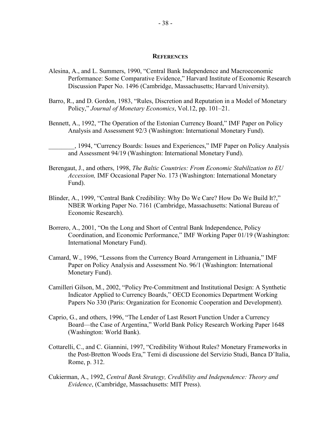#### **REFERENCES**

- Alesina, A., and L. Summers, 1990, "Central Bank Independence and Macroeconomic Performance: Some Comparative Evidence," Harvard Institute of Economic Research Discussion Paper No. 1496 (Cambridge, Massachusetts; Harvard University).
- Barro, R., and D. Gordon, 1983, "Rules, Discretion and Reputation in a Model of Monetary Policy," *Journal of Monetary Economics*, Vol.12, pp. 101–21.
- Bennett, A., 1992, "The Operation of the Estonian Currency Board," IMF Paper on Policy Analysis and Assessment 92/3 (Washington: International Monetary Fund).

\_\_\_\_\_\_\_\_, 1994, "Currency Boards: Issues and Experiences," IMF Paper on Policy Analysis and Assessment 94/19 (Washington: International Monetary Fund).

- Berengaut, J., and others, 1998, *The Baltic Countries: From Economic Stabilization to EU Accession,* IMF Occasional Paper No. 173 (Washington: International Monetary Fund).
- Blinder, A., 1999, "Central Bank Credibility: Why Do We Care? How Do We Build It?," NBER Working Paper No. 7161 (Cambridge, Massachusetts: National Bureau of Economic Research).
- Borrero, A., 2001, "On the Long and Short of Central Bank Independence, Policy Coordination, and Economic Performance," IMF Working Paper 01/19 (Washington: International Monetary Fund).
- Camard, W., 1996, "Lessons from the Currency Board Arrangement in Lithuania," IMF Paper on Policy Analysis and Assessment No. 96/1 (Washington: International Monetary Fund).
- Camilleri Gilson, M., 2002, "Policy Pre-Commitment and Institutional Design: A Synthetic Indicator Applied to Currency Boards," OECD Economics Department Working Papers No 330 (Paris: Organization for Economic Cooperation and Development).
- Caprio, G., and others, 1996, "The Lender of Last Resort Function Under a Currency Board—the Case of Argentina," World Bank Policy Research Working Paper 1648 (Washington: World Bank).
- Cottarelli, C., and C. Giannini, 1997, "Credibility Without Rules? Monetary Frameworks in the Post-Bretton Woods Era," Temi di discussione del Servizio Studi, Banca D'Italia, Rome, p. 312.
- Cukierman, A., 1992, *Central Bank Strategy, Credibility and Independence: Theory and Evidence*, (Cambridge, Massachusetts: MIT Press).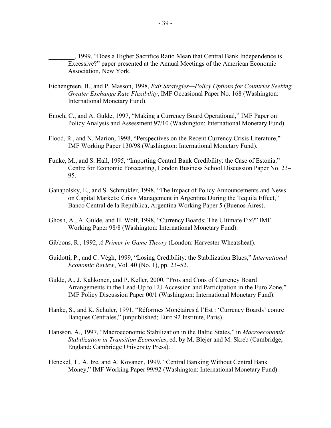\_\_\_\_\_\_\_\_, 1999, "Does a Higher Sacrifice Ratio Mean that Central Bank Independence is Excessive?" paper presented at the Annual Meetings of the American Economic Association, New York.

- Eichengreen, B., and P. Masson, 1998, *Exit Strategies—Policy Options for Countries Seeking Greater Exchange Rate Flexibility*, IMF Occasional Paper No. 168 (Washington: International Monetary Fund).
- Enoch, C., and A. Gulde, 1997, "Making a Currency Board Operational," IMF Paper on Policy Analysis and Assessment 97/10 (Washington: International Monetary Fund).
- Flood, R., and N. Marion, 1998, "Perspectives on the Recent Currency Crisis Literature," IMF Working Paper 130/98 (Washington: International Monetary Fund).
- Funke, M., and S. Hall, 1995, "Importing Central Bank Credibility: the Case of Estonia," Centre for Economic Forecasting, London Business School Discussion Paper No. 23– 95.
- Ganapolsky, E., and S. Schmukler, 1998, "The Impact of Policy Announcements and News on Capital Markets: Crisis Management in Argentina During the Tequila Effect," Banco Central de la República, Argentina Working Paper 5 (Buenos Aires).
- Ghosh, A., A. Gulde, and H. Wolf, 1998, "Currency Boards: The Ultimate Fix?" IMF Working Paper 98/8 (Washington: International Monetary Fund).
- Gibbons, R., 1992, *A Primer in Game Theory* (London: Harvester Wheatsheaf).
- Guidotti, P., and C. Végh, 1999, "Losing Credibility: the Stabilization Blues," *International Economic Review*, Vol. 40 (No. 1), pp. 23–52.
- Gulde, A., J. Kahkonen, and P. Keller, 2000, "Pros and Cons of Currency Board Arrangements in the Lead-Up to EU Accession and Participation in the Euro Zone," IMF Policy Discussion Paper 00/1 (Washington: International Monetary Fund).
- Hanke, S., and K. Schuler, 1991, "Réformes Monétaires à l'Est : 'Currency Boards' contre Banques Centrales," (unpublished; Euro 92 Institute, Paris).
- Hansson, A., 1997, "Macroeconomic Stabilization in the Baltic States," in *Macroeconomic Stabilization in Transition Economies*, ed. by M. Blejer and M. Skreb (Cambridge, England: Cambridge University Press).
- Henckel, T., A. Ize, and A. Kovanen, 1999, "Central Banking Without Central Bank Money," IMF Working Paper 99/92 (Washington: International Monetary Fund).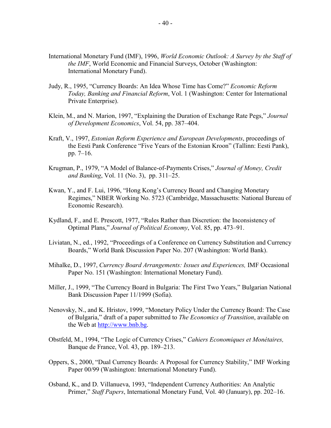- International Monetary Fund (IMF), 1996, *World Economic Outlook: A Survey by the Staff of the IMF*, World Economic and Financial Surveys, October (Washington: International Monetary Fund).
- Judy, R., 1995, "Currency Boards: An Idea Whose Time has Come?" *Economic Reform Today, Banking and Financial Reform*, Vol. 1 (Washington: Center for International Private Enterprise).
- Klein, M., and N. Marion, 1997, "Explaining the Duration of Exchange Rate Pegs," *Journal of Development Economics*, Vol. 54, pp. 387–404.
- Kraft, V., 1997, *Estonian Reform Experience and European Developments*, proceedings of the Eesti Pank Conference "Five Years of the Estonian Kroon" (Tallinn: Eesti Pank), pp. 7–16.
- Krugman, P., 1979, "A Model of Balance-of-Payments Crises," *Journal of Money, Credit and Banking*, Vol. 11 (No. 3), pp. 311–25.
- Kwan, Y., and F. Lui, 1996, "Hong Kong's Currency Board and Changing Monetary Regimes," NBER Working No. 5723 (Cambridge, Massachusetts: National Bureau of Economic Research).
- Kydland, F., and E. Prescott, 1977, "Rules Rather than Discretion: the Inconsistency of Optimal Plans," *Journal of Political Economy*, Vol. 85, pp. 473–91.
- Liviatan, N., ed*.*, 1992, "Proceedings of a Conference on Currency Substitution and Currency Boards," World Bank Discussion Paper No. 207 (Washington: World Bank).
- Mihalke, D., 1997, *Currency Board Arrangements: Issues and Experiences,* IMF Occasional Paper No. 151 (Washington: International Monetary Fund).
- Miller, J., 1999, "The Currency Board in Bulgaria: The First Two Years," Bulgarian National Bank Discussion Paper 11/1999 (Sofia).
- Nenovsky, N., and K. Hristov, 1999, "Monetary Policy Under the Currency Board: The Case of Bulgaria," draft of a paper submitted to *The Economics of Transition*, available on the Web at [http://www.bnb.bg.](http://www.bnb.bg)
- Obstfeld, M., 1994, "The Logic of Currency Crises," *Cahiers Economiques et Monétaires,*  Banque de France, Vol. 43, pp. 189–213.
- Oppers, S., 2000, "Dual Currency Boards: A Proposal for Currency Stability," IMF Working Paper 00/99 (Washington: International Monetary Fund).
- Osband, K., and D. Villanueva, 1993, "Independent Currency Authorities: An Analytic Primer," *Staff Papers*, International Monetary Fund, Vol. 40 (January), pp. 202–16.